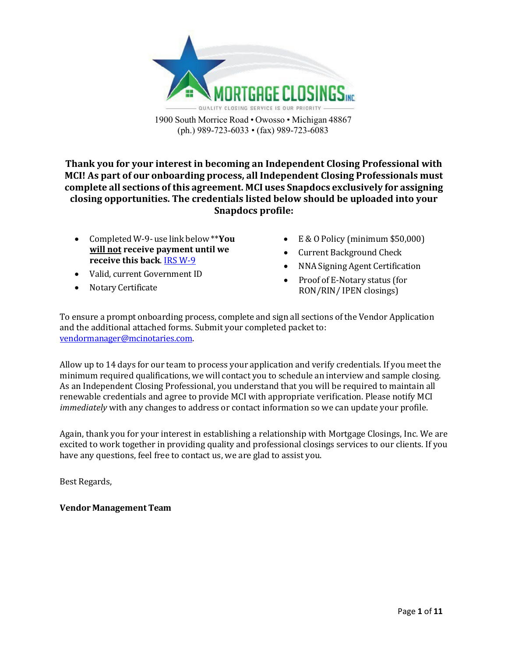

**Thank you for your interest in becoming an Independent Closing Professional with MCI! As part of our onboarding process, all Independent Closing Professionals must complete all sections of this agreement. MCI uses Snapdocs exclusively for assigning closing opportunities. The credentials listed below should be uploaded into your Snapdocs profile:**

- Completed W-9- use link below \*\***You will not receive payment until we receive this back**[. IRS W-9](https://www.irs.gov/pub/irs-pdf/fw9.pdf)
- Valid, current Government ID
- Notary Certificate
- $E \& O$  Policy (minimum \$50,000)
- Current Background Check
- NNA Signing Agent Certification
- Proof of E-Notary status (for RON/RIN/ IPEN closings)

To ensure a prompt onboarding process, complete and sign all sections of the Vendor Application and the additional attached forms. Submit your completed packet to: [vendormanager@mcinotaries.com.](mailto:vendormanager@mcinotaries.com)

Allow up to 14 days for our team to process your application and verify credentials. If you meet the minimum required qualifications, we will contact you to schedule an interview and sample closing. As an Independent Closing Professional, you understand that you will be required to maintain all renewable credentials and agree to provide MCI with appropriate verification. Please notify MCI *immediately* with any changes to address or contact information so we can update your profile.

Again, thank you for your interest in establishing a relationship with Mortgage Closings, Inc. We are excited to work together in providing quality and professional closings services to our clients. If you have any questions, feel free to contact us, we are glad to assist you.

Best Regards,

#### **Vendor Management Team**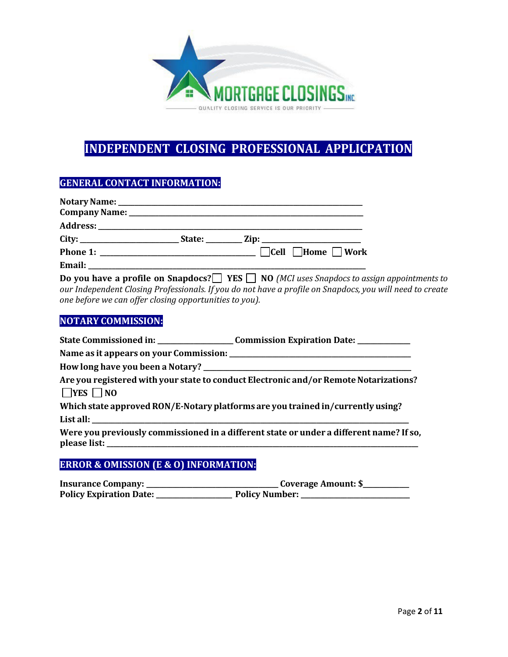

# **INDEPENDENT CLOSING PROFESSIONAL APPLICPATION**

# **GENERAL CONTACT INFORMATION:**

|                                                                                                                                                                                                                                     | State: $\frac{Zip:$                 |
|-------------------------------------------------------------------------------------------------------------------------------------------------------------------------------------------------------------------------------------|-------------------------------------|
| <b>Phone 1:</b> The contract of the contract of the contract of the contract of the contract of the contract of the contract of the contract of the contract of the contract of the contract of the contract of the contract of the | $\Box$ Cell $\Box$ Home $\Box$ Work |
| Email:                                                                                                                                                                                                                              |                                     |

**Do you have a profile on Snapdocs? YES NO (MCI uses Snapdocs to assign appointments to** *our Independent Closing Professionals. If you do not have a profile on Snapdocs, you will need to create one before we can offer closing opportunities to you).*

# **NOTARY COMMISSION:**

|                      | State Commissioned in: ________________________Commission Expiration Date: ____________ |
|----------------------|-----------------------------------------------------------------------------------------|
|                      |                                                                                         |
|                      |                                                                                         |
| $\Box$ YES $\Box$ NO | Are you registered with your state to conduct Electronic and/or Remote Notarizations?   |
|                      | Which state approved RON/E-Notary platforms are you trained in/currently using?         |
|                      | Were you previously commissioned in a different state or under a different name? If so, |
|                      |                                                                                         |

# **ERROR & OMISSION (E & O) INFORMATION:**

| <b>Insurance Company:</b>      | Coverage Amount: \$   |
|--------------------------------|-----------------------|
| <b>Policy Expiration Date:</b> | <b>Policy Number:</b> |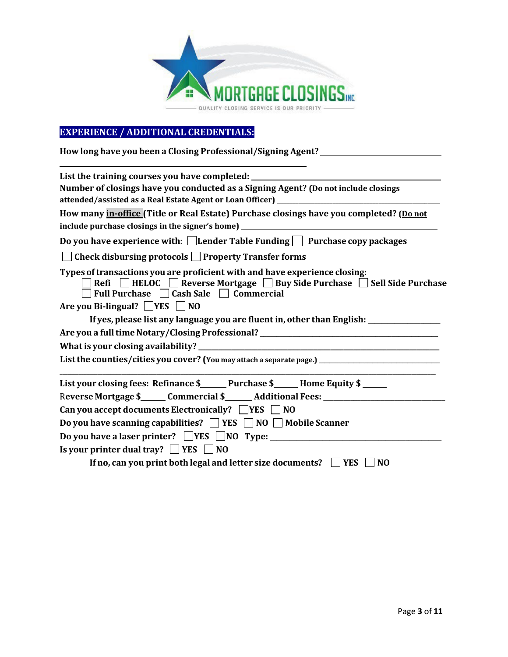

# **EXPERIENCE / ADDITIONAL CREDENTIALS:**

**How long have you been a Closing Professional/Signing Agent?** 

| List the training courses you have completed:                                                                                                                                                    |  |  |
|--------------------------------------------------------------------------------------------------------------------------------------------------------------------------------------------------|--|--|
| Number of closings have you conducted as a Signing Agent? (Do not include closings                                                                                                               |  |  |
|                                                                                                                                                                                                  |  |  |
| include purchase closings in the signer's home) _________________________________                                                                                                                |  |  |
| Do you have experience with: $\Box$ Lender Table Funding $\Box$ Purchase copy packages                                                                                                           |  |  |
| $\Box$ Check disbursing protocols $\Box$ Property Transfer forms                                                                                                                                 |  |  |
| Types of transactions you are proficient with and have experience closing:<br>Refi   HELOC   Reverse Mortgage   Buy Side Purchase   Sell Side Purchase<br>Full Purchase □ Cash Sale □ Commercial |  |  |
| Are you Bi-lingual? $\Box$ YES $\Box$ NO                                                                                                                                                         |  |  |
| If yes, please list any language you are fluent in, other than English: _______________                                                                                                          |  |  |
| Are you a full time Notary/Closing Professional? ________________________________                                                                                                                |  |  |
|                                                                                                                                                                                                  |  |  |
| List the counties/cities you cover? (You may attach a separate page.) _____________________________                                                                                              |  |  |
| List your closing fees: Refinance \$ Purchase \$ Home Equity \$                                                                                                                                  |  |  |
| Reverse Mortgage \$______ Commercial \$_______ Additional Fees: __________________                                                                                                               |  |  |
| Can you accept documents Electronically? $\Box$ YES $\Box$ NO                                                                                                                                    |  |  |
| Do you have scanning capabilities? □ YES □ NO □ Mobile Scanner                                                                                                                                   |  |  |
|                                                                                                                                                                                                  |  |  |
| Is your printer dual tray? $\Box$ YES $\Box$ NO                                                                                                                                                  |  |  |
| If no, can you print both legal and letter size documents? $\Box$ YES<br>N <sub>O</sub>                                                                                                          |  |  |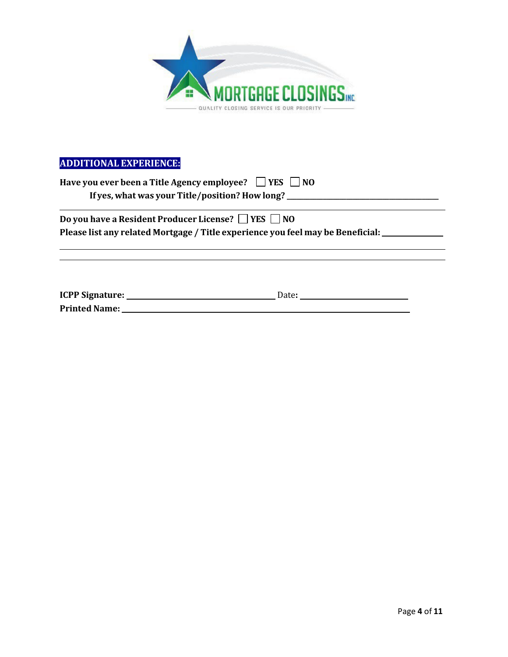

# **ADDITIONAL EXPERIENCE:**

| Have you ever been a Title Agency employee? $\Box$ YES $\Box$ NO                                                                                 | If yes, what was your Title/position? How long? ________________________________                                              |
|--------------------------------------------------------------------------------------------------------------------------------------------------|-------------------------------------------------------------------------------------------------------------------------------|
| Do you have a Resident Producer License? $\Box$ YES $\Box$ NO<br>Please list any related Mortgage / Title experience you feel may be Beneficial: |                                                                                                                               |
|                                                                                                                                                  |                                                                                                                               |
|                                                                                                                                                  | Date:<br><u> Alexandria de la contrada de la contrada de la contrada de la contrada de la contrada de la contrada de la c</u> |

**Printed Name:**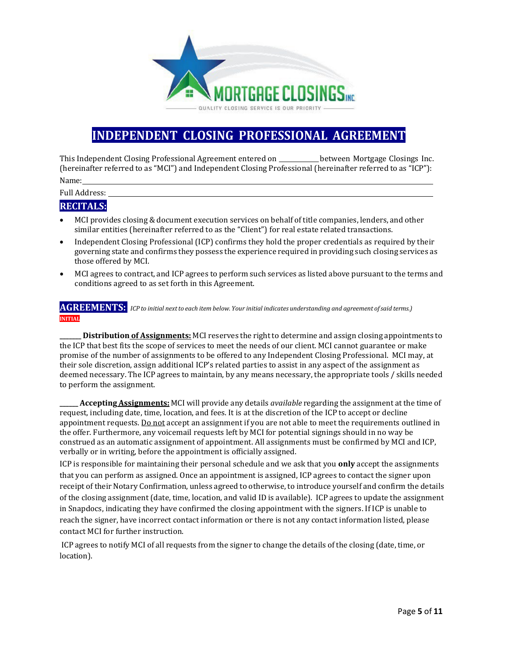

# **INDEPENDENT CLOSING PROFESSIONAL AGREEMENT**

This Independent Closing Professional Agreement entered on between Mortgage Closings Inc. (hereinafter referred to as "MCI") and Independent Closing Professional (hereinafter referred to as "ICP"): Name:

Full Address:

## **RECITALS:**

- MCI provides closing & document execution services on behalf of title companies, lenders, and other similar entities (hereinafter referred to as the "Client") for real estate related transactions.
- Independent Closing Professional (ICP) confirms they hold the proper credentials as required by their governing state and confirms they possess the experience required in providing such closing services as those offered by MCI.
- MCI agrees to contract, and ICP agrees to perform such services as listed above pursuant to the terms and conditions agreed to as set forth in this Agreement.

#### **AGREEMENTS:** ICP to initial next to each item below. Your initial indicates understanding and agreement of said terms.) **INITIAL**

**\_\_\_\_\_\_\_ Distribution of Assignments:** MCI reserves the right to determine and assign closing appointments to the ICP that best fits the scope of services to meet the needs of our client. MCI cannot guarantee or make promise of the number of assignments to be offered to any Independent Closing Professional. MCI may, at their sole discretion, assign additional ICP's related parties to assist in any aspect of the assignment as deemed necessary. The ICP agrees to maintain, by any means necessary, the appropriate tools / skills needed to perform the assignment.

**\_\_\_\_\_\_ Accepting Assignments:** MCI will provide any details *available* regarding the assignment at the time of request, including date, time, location, and fees. It is at the discretion of the ICP to accept or decline appointment requests. Do not accept an assignment if you are not able to meet the requirements outlined in the offer. Furthermore, any voicemail requests left by MCI for potential signings should in no way be construed as an automatic assignment of appointment. All assignments must be confirmed by MCI and ICP, verbally or in writing, before the appointment is officially assigned.

ICP is responsible for maintaining their personal schedule and we ask that you **only** accept the assignments that you can perform as assigned. Once an appointment is assigned, ICP agrees to contact the signer upon receipt of their Notary Confirmation, unless agreed to otherwise, to introduce yourself and confirm the details of the closing assignment (date, time, location, and valid ID is available). ICP agrees to update the assignment in Snapdocs, indicating they have confirmed the closing appointment with the signers. If ICP is unable to reach the signer, have incorrect contact information or there is not any contact information listed, please contact MCI for further instruction.

ICP agrees to notify MCI of all requests from the signer to change the details of the closing (date, time, or location).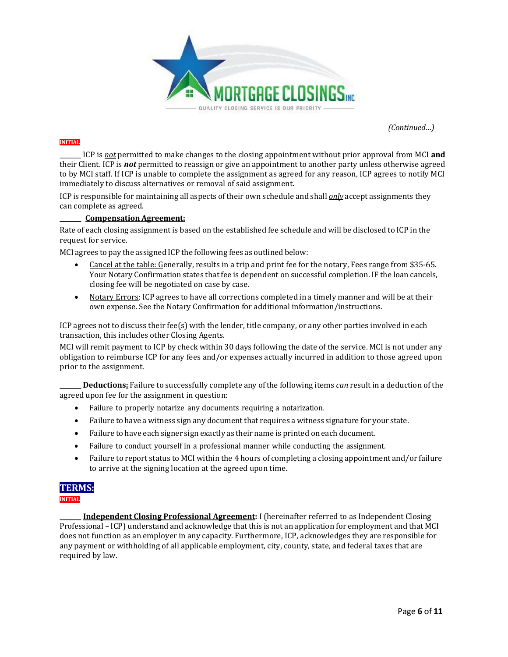

*(Continued…)*

#### **INITIAL**

**\_\_\_\_\_\_\_** ICP is *not* permitted to make changes to the closing appointment without prior approval from MCI **and**  their Client. ICP is *not* permitted to reassign or give an appointment to another party unless otherwise agreed to by MCI staff. If ICP is unable to complete the assignment as agreed for any reason, ICP agrees to notify MCI immediately to discuss alternatives or removal of said assignment.

ICP is responsible for maintaining all aspects of their own schedule and shall *only* accept assignments they can complete as agreed.

#### **\_\_\_\_\_\_\_ Compensation Agreement:**

Rate of each closing assignment is based on the established fee schedule and will be disclosed to ICP in the request for service.

MCI agrees to pay the assigned ICP the following fees as outlined below:

- Cancel at the table: Generally, results in a trip and print fee for the notary, Fees range from \$35-65. Your Notary Confirmation states that fee is dependent on successful completion. IF the loan cancels, closing fee will be negotiated on case by case.
- Notary Errors: ICP agrees to have all corrections completed in a timely manner and will be at their own expense. See the Notary Confirmation for additional information/instructions.

ICP agrees not to discuss their fee(s) with the lender, title company, or any other parties involved in each transaction, this includes other Closing Agents.

MCI will remit payment to ICP by check within 30 days following the date of the service. MCI is not under any obligation to reimburse ICP for any fees and/or expenses actually incurred in addition to those agreed upon prior to the assignment.

**\_\_\_\_\_\_\_ Deductions:** Failure to successfully complete any of the following items *can* result in a deduction of the agreed upon fee for the assignment in question:

- Failure to properly notarize any documents requiring a notarization.
- Failure to have a witness sign any document that requires a witness signature for your state.
- Failure to have each signer sign exactly as their name is printed on each document.
- Failure to conduct yourself in a professional manner while conducting the assignment.
- Failure to report status to MCI within the 4 hours of completing a closing appointment and/or failure to arrive at the signing location at the agreed upon time.

# **TERMS:**

**INITIAL**

**\_\_\_\_\_\_\_ Independent Closing Professional Agreement:** I (hereinafter referred to as Independent Closing Professional – ICP) understand and acknowledge that this is not an application for employment and that MCI does not function as an employer in any capacity. Furthermore, ICP, acknowledges they are responsible for any payment or withholding of all applicable employment, city, county, state, and federal taxes that are required by law.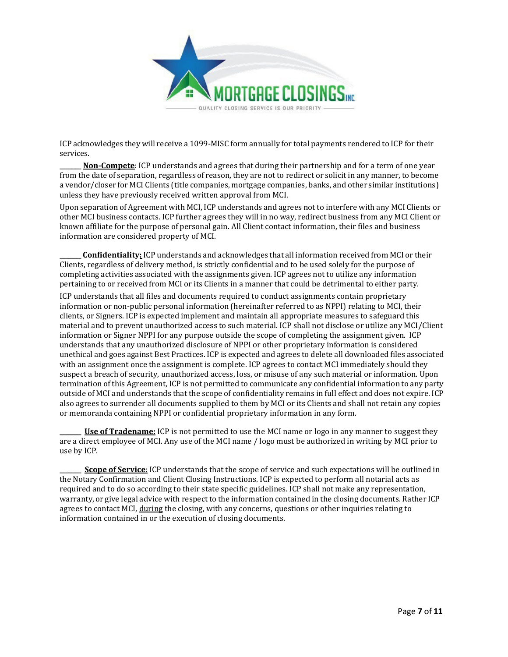

ICP acknowledges they will receive a 1099-MISC form annually for total payments rendered to ICP for their services.

**Non-Compete**: ICP understands and agrees that during their partnership and for a term of one year from the date of separation, regardless of reason, they are not to redirect or solicit in any manner, to become a vendor/closer for MCI Clients (title companies, mortgage companies, banks, and other similar institutions) unless they have previously received written approval from MCI.

Upon separation of Agreement with MCI, ICP understands and agrees not to interfere with any MCI Clients or other MCI business contacts. ICP further agrees they will in no way, redirect business from any MCI Client or known affiliate for the purpose of personal gain. All Client contact information, their files and business information are considered property of MCI.

**\_\_\_\_\_\_\_ Confidentiality:** ICP understands and acknowledges that all information received from MCI or their Clients, regardless of delivery method, is strictly confidential and to be used solely for the purpose of completing activities associated with the assignments given. ICP agrees not to utilize any information pertaining to or received from MCI or its Clients in a manner that could be detrimental to either party.

ICP understands that all files and documents required to conduct assignments contain proprietary information or non-public personal information (hereinafter referred to as NPPI) relating to MCI, their clients, or Signers. ICP is expected implement and maintain all appropriate measures to safeguard this material and to prevent unauthorized access to such material. ICP shall not disclose or utilize any MCI/Client information or Signer NPPI for any purpose outside the scope of completing the assignment given. ICP understands that any unauthorized disclosure of NPPI or other proprietary information is considered unethical and goes against Best Practices. ICP is expected and agrees to delete all downloaded files associated with an assignment once the assignment is complete. ICP agrees to contact MCI immediately should they suspect a breach of security, unauthorized access, loss, or misuse of any such material or information. Upon termination of this Agreement, ICP is not permitted to communicate any confidential information to any party outside of MCI and understands that the scope of confidentiality remains in full effect and does not expire. ICP also agrees to surrender all documents supplied to them by MCI or its Clients and shall not retain any copies or memoranda containing NPPI or confidential proprietary information in any form.

**\_\_\_\_\_\_\_ Use of Tradename:** ICP is not permitted to use the MCI name or logo in any manner to suggest they are a direct employee of MCI. Any use of the MCI name / logo must be authorized in writing by MCI prior to use by ICP.

**\_\_\_\_\_\_\_ Scope of Service**: ICP understands that the scope of service and such expectations will be outlined in the Notary Confirmation and Client Closing Instructions. ICP is expected to perform all notarial acts as required and to do so according to their state specific guidelines. ICP shall not make any representation, warranty, or give legal advice with respect to the information contained in the closing documents. Rather ICP agrees to contact MCI, during the closing, with any concerns, questions or other inquiries relating to information contained in or the execution of closing documents.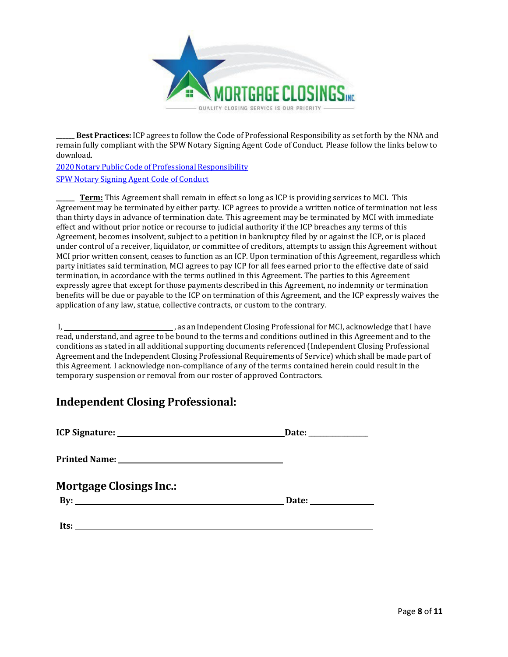

**\_\_\_\_\_\_ Best Practices:** ICP agrees to follow the Code of Professional Responsibility as setforth by the NNA and remain fully compliant with the SPW Notary Signing Agent Code of Conduct. Please follow the links below to [download.](https://www.nationalnotary.org/knowledge-center/reference-library/notary-public-code-of-professional-responsibility)

2020 Notary [Public Code of](https://spswg.files.wordpress.com/2016/02/spw-code-of-conduct-2016.pdf) Professional Responsibility SPW Notary Signing Agent Code of Conduct

**\_\_\_\_\_\_ Term:** This Agreement shall remain in effect so long as ICP is providing services to MCI. This Agreement may be terminated by either party. ICP agrees to provide a written notice of termination not less than thirty days in advance of termination date. This agreement may be terminated by MCI with immediate effect and without prior notice or recourse to judicial authority if the ICP breaches any terms of this Agreement, becomes insolvent, subject to a petition in bankruptcy filed by or against the ICP, or is placed under control of a receiver, liquidator, or committee of creditors, attempts to assign this Agreement without MCI prior written consent, ceases to function as an ICP. Upon termination of this Agreement, regardless which party initiates said termination, MCI agrees to pay ICP for all fees earned prior to the effective date of said termination, in accordance with the terms outlined in this Agreement. The parties to this Agreement expressly agree that except for those payments described in this Agreement, no indemnity or termination benefits will be due or payable to the ICP on termination of this Agreement, and the ICP expressly waives the application of any law, statue, collective contracts, or custom to the contrary.

I,  $\frac{1}{2}$  , as an Independent Closing Professional for MCI, acknowledge that I have read, understand, and agree to be bound to the terms and conditions outlined in this Agreement and to the conditions as stated in all additional supporting documents referenced (Independent Closing Professional Agreement and the Independent Closing Professional Requirements of Service) which shall be made part of this Agreement. I acknowledge non-compliance of any of the terms contained herein could result in the temporary suspension or removal from our roster of approved Contractors.

# **Independent Closing Professional:**

|                                | Date: ______________               |
|--------------------------------|------------------------------------|
|                                |                                    |
| <b>Mortgage Closings Inc.:</b> |                                    |
| $\mathbf{B} \mathbf{y}$ :      | Date: <u>_____________________</u> |
|                                |                                    |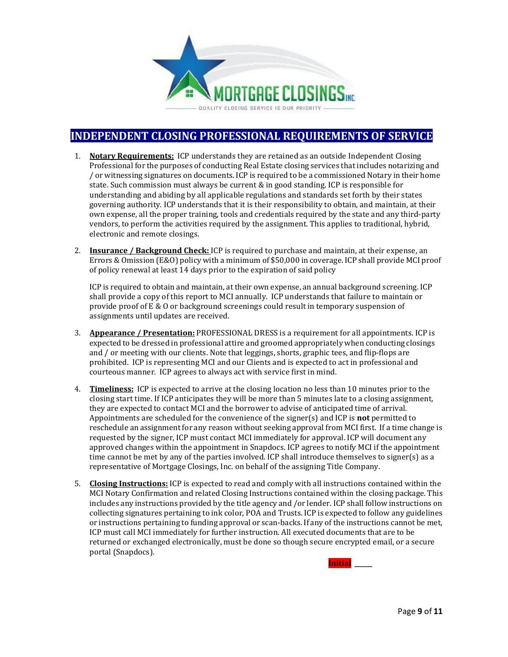

# **INDEPENDENT CLOSING PROFESSIONAL REQUIREMENTS OF SERVICE**

- 1. **Notary Requirements:** ICP understands they are retained as an outside Independent Closing Professional for the purposes of conducting Real Estate closing services thatincludes notarizing and / or witnessing signatures on documents. ICP is required to be a commissioned Notary in their home state. Such commission must always be current & in good standing. ICP is responsible for understanding and abiding by all applicable regulations and standards set forth by their states governing authority. ICP understands that it is their responsibility to obtain, and maintain, at their own expense, all the proper training, tools and credentials required by the state and any third-party vendors, to perform the activities required by the assignment. This applies to traditional, hybrid, electronic and remote closings.
- 2. **Insurance / Background Check:** ICP is required to purchase and maintain, at their expense, an Errors & Omission (E&O) policy with a minimum of \$50,000 in coverage. ICP shall provide MCI proof of policy renewal at least 14 days prior to the expiration of said policy

ICP is required to obtain and maintain, at their own expense, an annual background screening. ICP shall provide a copy of this report to MCI annually. ICP understands that failure to maintain or provide proof of E & O or background screenings could result in temporary suspension of assignments until updates are received.

- 3. **Appearance / Presentation:** PROFESSIONAL DRESS is a requirement for all appointments. ICP is expected to be dressed in professional attire and groomed appropriately when conducting closings and / or meeting with our clients. Note that leggings, shorts, graphic tees, and flip-flops are prohibited. ICP is representing MCI and our Clients and is expected to act in professional and courteous manner. ICP agrees to always act with service first in mind.
- 4. **Timeliness:** ICP is expected to arrive at the closing location no less than 10 minutes prior to the closing start time. If ICP anticipates they will be more than 5 minutes late to a closing assignment, they are expected to contact MCI and the borrower to advise of anticipated time of arrival. Appointments are scheduled for the convenience of the signer(s) and ICP is **not** permitted to reschedule an assignment for any reason without seeking approval from MCI first. If a time change is requested by the signer, ICP must contact MCI immediately for approval. ICP will document any approved changes within the appointment in Snapdocs. ICP agrees to notify MCI if the appointment time cannot be met by any of the parties involved. ICP shall introduce themselves to signer(s) as a representative of Mortgage Closings, Inc. on behalf of the assigning Title Company.
- 5. **Closing Instructions:** ICP is expected to read and comply with all instructions contained within the MCI Notary Confirmation and related Closing Instructions contained within the closing package. This includes any instructions provided by the title agency and /or lender. ICP shall follow instructions on collecting signatures pertaining to ink color, POA and Trusts. ICP is expected to follow any guidelines or instructions pertaining to funding approval or scan-backs. If any of the instructions cannot be met, ICP must call MCI immediately for further instruction. All executed documents that are to be returned or exchanged electronically, must be done so though secure encrypted email, or a secure portal (Snapdocs).

**Initial \_\_\_\_\_\_**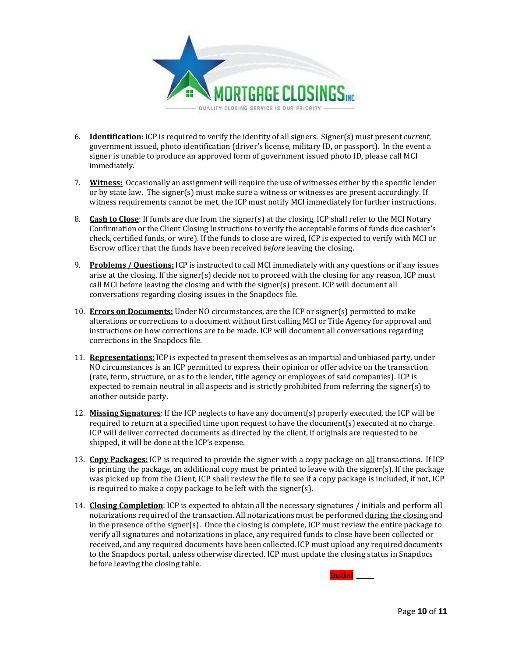

- 6. **Identification:** ICP is required to verify the identity of all signers. Signer(s) must present *current*, government issued, photo identification (driver's license, military ID, or passport). In the event a signer is unable to produce an approved form of government issued photo ID, please call MCI immediately.
- 7. **Witness:** Occasionally an assignment will require the use of witnesses either by the specific lender or by state law. The signer(s) must make sure a witness or witnesses are present accordingly. If witness requirements cannot be met, the ICP must notify MCI immediately for further instructions.
- 8. **Cash to Close**: If funds are due from the signer(s) at the closing, ICP shall refer to the MCI Notary Confirmation or the Client Closing Instructions to verify the acceptable forms of funds due cashier's check, certified funds, or wire). If the funds to close are wired, ICP is expected to verify with MCI or Escrow officer that the funds have been received *before* leaving the closing.
- 9. **Problems / Questions:** ICP is instructed to call MCI immediately with any questions or if any issues arise at the closing. If the signer(s) decide not to proceed with the closing for any reason, ICP must call MCI before leaving the closing and with the signer(s) present. ICP will document all conversations regarding closing issues in the Snapdocs file.
- 10. **Errors on Documents:** Under NO circumstances, are the ICP or signer(s) permitted to make alterations or corrections to a document without first calling MCI or Title Agency for approval and instructions on how corrections are to be made. ICP will document all conversations regarding corrections in the Snapdocs file.
- 11. **Representations:** ICP is expected to present themselves as an impartial and unbiased party, under NO circumstances is an ICP permitted to express their opinion or offer advice on the transaction (rate, term, structure, or as to the lender, title agency or employees of said companies). ICP is expected to remain neutral in all aspects and is strictly prohibited from referring the signer(s) to another outside party.
- 12. **Missing Signatures**: If the ICP neglects to have any document(s) properly executed, the ICP will be required to return at a specified time upon request to have the document(s) executed at no charge. ICP will deliver corrected documents as directed by the client, if originals are requested to be shipped, it will be done at the ICP's expense.
- 13. **Copy Packages:** ICP is required to provide the signer with a copy package on all transactions. If ICP is printing the package, an additional copy must be printed to leave with the signer(s). If the package was picked up from the Client, ICP shall review the file to see if a copy package is included, if not, ICP is required to make a copy package to be left with the signer(s).
- 14. **Closing Completion**: ICP is expected to obtain all the necessary signatures / initials and perform all notarizations required of the transaction. All notarizations must be performed during the closing and in the presence of the signer(s). Once the closing is complete, ICP must review the entire package to verify all signatures and notarizations in place, any required funds to close have been collected or received, and any required documents have been collected. ICP must upload any required documents to the Snapdocs portal, unless otherwise directed. ICP must update the closing status in Snapdocs before leaving the closing table.

**Initial \_\_\_\_\_\_**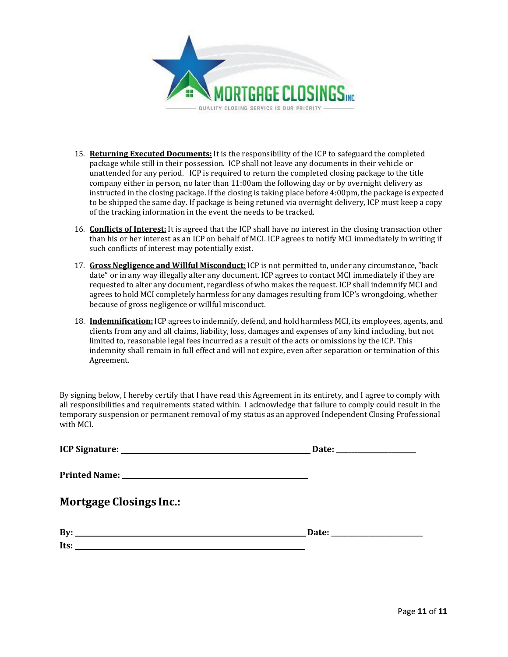

- 15. **Returning Executed Documents:** It is the responsibility of the ICP to safeguard the completed package while still in their possession. ICP shall not leave any documents in their vehicle or unattended for any period. ICP is required to return the completed closing package to the title company either in person, no later than 11:00am the following day or by overnight delivery as instructed in the closing package. Ifthe closing is taking place before 4:00pm, the package is expected to be shipped the same day. If package is being retuned via overnight delivery, ICP must keep a copy of the tracking information in the event the needs to be tracked.
- 16. **Conflicts of Interest:** It is agreed that the ICP shall have no interest in the closing transaction other than his or her interest as an ICP on behalf of MCI. ICP agrees to notify MCI immediately in writing if such conflicts of interest may potentially exist.
- 17. **Gross Negligence and Willful Misconduct:** ICP is not permitted to, under any circumstance,"back date" or in any way illegally alter any document. ICP agrees to contact MCI immediately if they are requested to alter any document, regardless of who makes the request. ICP shall indemnify MCI and agrees to hold MCI completely harmless for any damages resulting from ICP's wrongdoing, whether because of gross negligence or willful misconduct.
- 18. **Indemnification:** ICP agrees to indemnify, defend, and hold harmless MCI, its employees, agents, and clients from any and all claims, liability, loss, damages and expenses of any kind including, but not limited to, reasonable legal fees incurred as a result of the acts or omissions by the ICP. This indemnity shall remain in full effect and will not expire, even after separation or termination of this Agreement.

By signing below, I hereby certify that I have read this Agreement in its entirety, and I agree to comply with all responsibilities and requirements stated within. I acknowledge that failure to comply could result in the temporary suspension or permanent removal of my status as an approved Independent Closing Professional with MCI.

| <b>Mortgage Closings Inc.:</b> |  |
|--------------------------------|--|
| By: $\qquad \qquad$            |  |
|                                |  |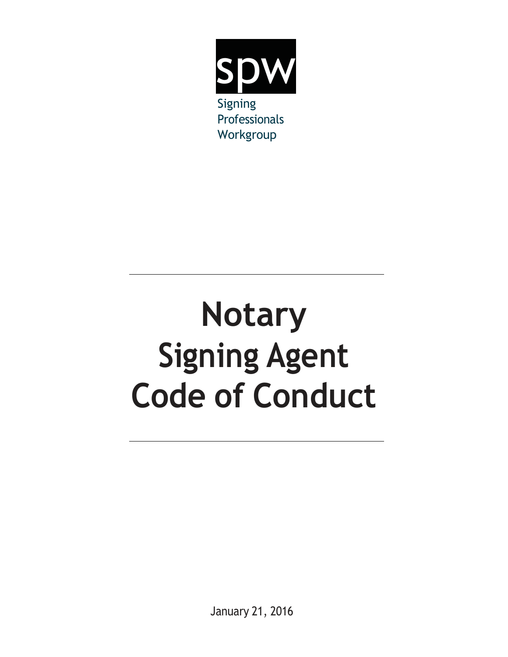

# **Notary Signing Agent Code of Conduct**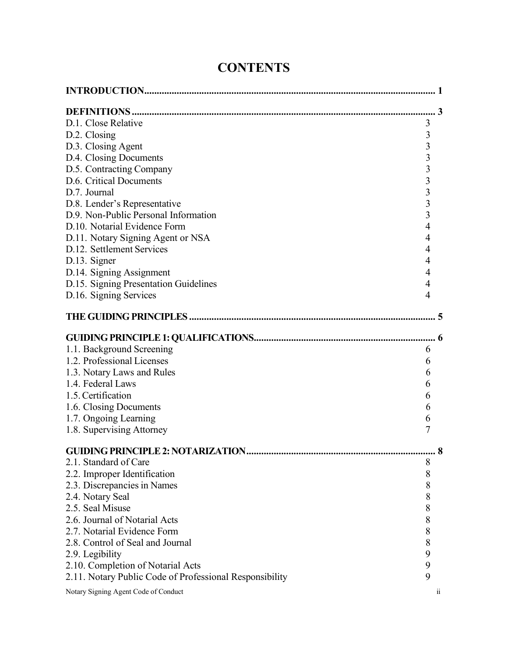| D.1. Close Relative                                     | 3                       |                         |
|---------------------------------------------------------|-------------------------|-------------------------|
| D.2. Closing                                            | 3                       |                         |
| D.3. Closing Agent                                      | 3                       |                         |
| D.4. Closing Documents                                  | $\overline{\mathbf{3}}$ |                         |
| D.5. Contracting Company                                | $\overline{\mathbf{3}}$ |                         |
| D.6. Critical Documents                                 | $\overline{\mathbf{3}}$ |                         |
| D.7. Journal                                            | $\overline{3}$          |                         |
| D.8. Lender's Representative                            | $\overline{\mathbf{3}}$ |                         |
| D.9. Non-Public Personal Information                    | $\overline{\mathbf{3}}$ |                         |
| D.10. Notarial Evidence Form                            | $\overline{4}$          |                         |
| D.11. Notary Signing Agent or NSA                       | 4                       |                         |
| D.12. Settlement Services                               | 4                       |                         |
| D.13. Signer                                            | 4                       |                         |
| D.14. Signing Assignment                                | 4                       |                         |
| D.15. Signing Presentation Guidelines                   | $\overline{4}$          |                         |
| D.16. Signing Services                                  | $\overline{4}$          |                         |
|                                                         |                         |                         |
|                                                         |                         |                         |
| 1.1. Background Screening                               | 6                       |                         |
| 1.2. Professional Licenses                              | 6                       |                         |
| 1.3. Notary Laws and Rules                              | 6                       |                         |
| 1.4. Federal Laws                                       | 6                       |                         |
| 1.5. Certification                                      | 6                       |                         |
| 1.6. Closing Documents                                  | 6                       |                         |
| 1.7. Ongoing Learning                                   | 6                       |                         |
| 1.8. Supervising Attorney                               | 7                       |                         |
|                                                         |                         |                         |
|                                                         |                         |                         |
| 2.1. Standard of Care                                   | 8                       |                         |
| 2.2. Improper Identification                            | 8                       |                         |
| 2.3. Discrepancies in Names                             | 8                       |                         |
| 2.4. Notary Seal                                        | 8                       |                         |
| 2.5. Seal Misuse                                        | 8                       |                         |
| 2.6. Journal of Notarial Acts                           | 8                       |                         |
| 2.7. Notarial Evidence Form                             | 8                       |                         |
| 2.8. Control of Seal and Journal                        | $\,$ $\,$               |                         |
| 2.9. Legibility                                         | 9                       |                         |
| 2.10. Completion of Notarial Acts                       | 9                       |                         |
| 2.11. Notary Public Code of Professional Responsibility | 9                       |                         |
| Notary Signing Agent Code of Conduct                    |                         | $\overline{\mathbf{u}}$ |

# **CONTENTS**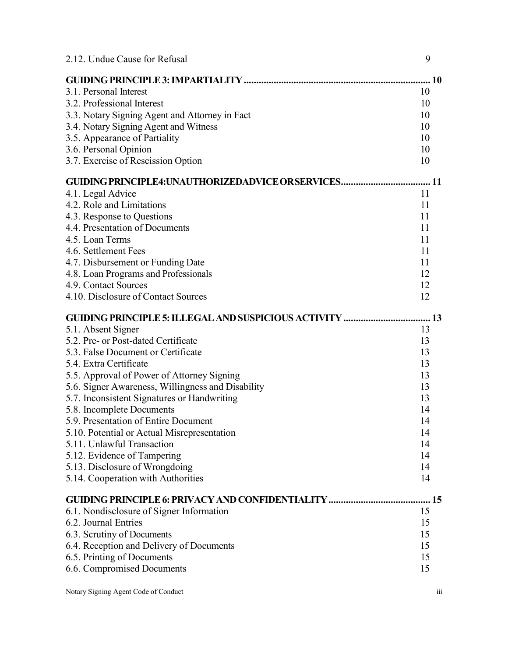| 2.12. Undue Cause for Refusal                                | 9  |
|--------------------------------------------------------------|----|
|                                                              | 10 |
| 3.1. Personal Interest                                       | 10 |
| 3.2. Professional Interest                                   | 10 |
| 3.3. Notary Signing Agent and Attorney in Fact               | 10 |
| 3.4. Notary Signing Agent and Witness                        | 10 |
| 3.5. Appearance of Partiality                                | 10 |
| 3.6. Personal Opinion                                        | 10 |
| 3.7. Exercise of Rescission Option                           | 10 |
|                                                              |    |
| 4.1. Legal Advice                                            | 11 |
| 4.2. Role and Limitations                                    | 11 |
| 4.3. Response to Questions                                   | 11 |
| 4.4. Presentation of Documents                               | 11 |
| 4.5. Loan Terms                                              | 11 |
| 4.6. Settlement Fees                                         | 11 |
| 4.7. Disbursement or Funding Date                            | 11 |
| 4.8. Loan Programs and Professionals                         | 12 |
| 4.9. Contact Sources                                         | 12 |
| 4.10. Disclosure of Contact Sources                          | 12 |
| <b>GUIDING PRINCIPLE 5: ILLEGAL AND SUSPICIOUS ACTIVITY </b> | 13 |
| 5.1. Absent Signer                                           | 13 |
| 5.2. Pre- or Post-dated Certificate                          | 13 |
| 5.3. False Document or Certificate                           | 13 |
| 5.4. Extra Certificate                                       | 13 |
| 5.5. Approval of Power of Attorney Signing                   | 13 |
| 5.6. Signer Awareness, Willingness and Disability            | 13 |
| 5.7. Inconsistent Signatures or Handwriting                  | 13 |
| 5.8. Incomplete Documents                                    | 14 |
| 5.9. Presentation of Entire Document                         | 14 |
| 5.10. Potential or Actual Misrepresentation                  | 14 |
| 5.11. Unlawful Transaction                                   | 14 |
| 5.12. Evidence of Tampering                                  | 14 |
| 5.13. Disclosure of Wrongdoing                               | 14 |
| 5.14. Cooperation with Authorities                           | 14 |
| <b>GUIDING PRINCIPLE 6: PRIVACY AND CONFIDENTIALITY </b>     | 15 |
| 6.1. Nondisclosure of Signer Information                     | 15 |
| 6.2. Journal Entries                                         | 15 |
| 6.3. Scrutiny of Documents                                   | 15 |
| 6.4. Reception and Delivery of Documents                     | 15 |
| 6.5. Printing of Documents                                   | 15 |
| 6.6. Compromised Documents                                   | 15 |
|                                                              |    |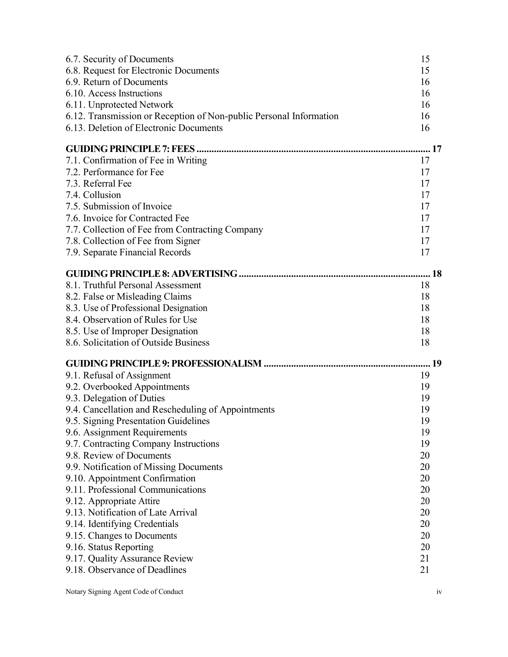| 6.7. Security of Documents                                         | 15 |
|--------------------------------------------------------------------|----|
| 6.8. Request for Electronic Documents                              | 15 |
| 6.9. Return of Documents                                           | 16 |
| 6.10. Access Instructions                                          | 16 |
| 6.11. Unprotected Network                                          | 16 |
| 6.12. Transmission or Reception of Non-public Personal Information | 16 |
| 6.13. Deletion of Electronic Documents                             | 16 |
|                                                                    |    |
| 7.1. Confirmation of Fee in Writing                                | 17 |
| 7.2. Performance for Fee                                           | 17 |
| 7.3. Referral Fee                                                  | 17 |
| 7.4. Collusion                                                     | 17 |
| 7.5. Submission of Invoice                                         | 17 |
| 7.6. Invoice for Contracted Fee                                    | 17 |
| 7.7. Collection of Fee from Contracting Company                    | 17 |
| 7.8. Collection of Fee from Signer                                 | 17 |
| 7.9. Separate Financial Records                                    | 17 |
|                                                                    |    |
| 8.1. Truthful Personal Assessment                                  | 18 |
| 8.2. False or Misleading Claims                                    | 18 |
| 8.3. Use of Professional Designation                               | 18 |
| 8.4. Observation of Rules for Use                                  | 18 |
| 8.5. Use of Improper Designation                                   | 18 |
| 8.6. Solicitation of Outside Business                              | 18 |
|                                                                    |    |
| 9.1. Refusal of Assignment                                         | 19 |
| 9.2. Overbooked Appointments                                       | 19 |
| 9.3. Delegation of Duties                                          | 19 |
| 9.4. Cancellation and Rescheduling of Appointments                 | 19 |
| 9.5. Signing Presentation Guidelines                               | 19 |
| 9.6. Assignment Requirements                                       | 19 |
| 9.7. Contracting Company Instructions                              | 19 |
| 9.8. Review of Documents                                           | 20 |
| 9.9. Notification of Missing Documents                             | 20 |
| 9.10. Appointment Confirmation                                     | 20 |
| 9.11. Professional Communications                                  | 20 |
| 9.12. Appropriate Attire                                           | 20 |
| 9.13. Notification of Late Arrival                                 | 20 |
| 9.14. Identifying Credentials                                      | 20 |
| 9.15. Changes to Documents                                         | 20 |
| 9.16. Status Reporting                                             | 20 |
| 9.17. Quality Assurance Review                                     | 21 |
| 9.18. Observance of Deadlines                                      | 21 |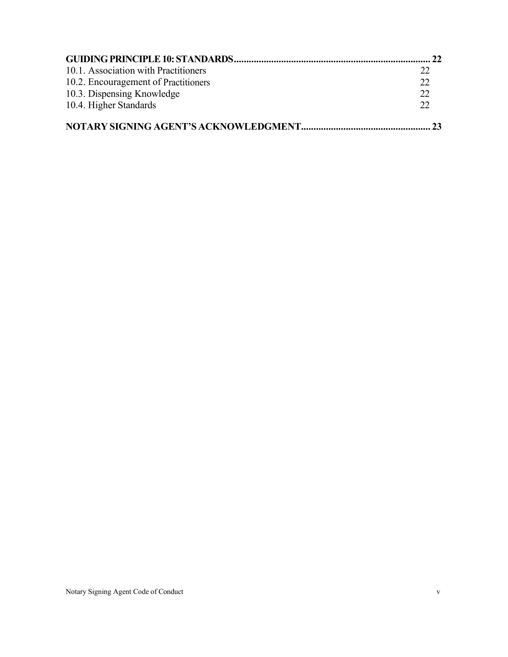| 10.1. Association with Practitioners | 22 |
|--------------------------------------|----|
| 10.2. Encouragement of Practitioners | 22 |
| 10.3. Dispensing Knowledge           | 22 |
| 10.4. Higher Standards               | 22 |
|                                      | 23 |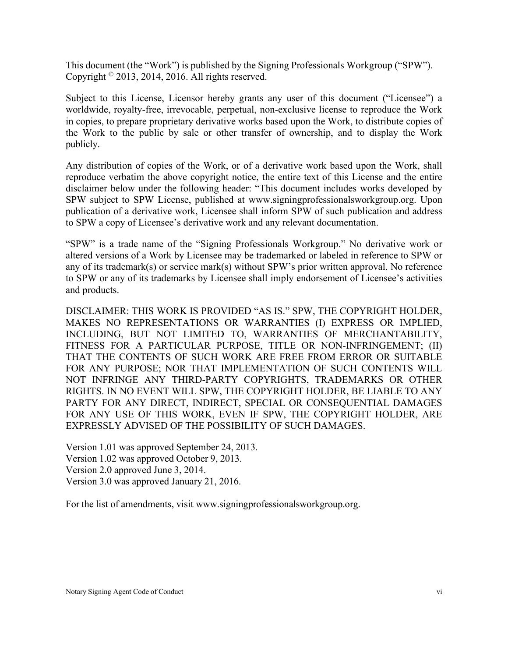This document (the "Work") is published by the Signing Professionals Workgroup ("SPW"). Copyright  $^\circ$  2013, 2014, 2016. All rights reserved.

Subject to this License, Licensor hereby grants any user of this document ("Licensee") a worldwide, royalty-free, irrevocable, perpetual, non-exclusive license to reproduce the Work in copies, to prepare proprietary derivative works based upon the Work, to distribute copies of the Work to the public by sale or other transfer of ownership, and to display the Work publicly.

Any distribution of copies of the Work, or of a derivative work based upon the Work, shall reproduce verbatim the above copyright notice, the entire text of this License and the entire disclaimer below under the following header: "This document includes works developed by SPW subject to SPW License, published at [www.signingprofessionalsworkgroup.org.](http://www.signingprofessionalsworkgroup.org/) Upon publication of a derivative work, Licensee shall inform SPW of such publication and address to SPW a copy of Licensee's derivative work and any relevant documentation.

"SPW" is a trade name of the "Signing Professionals Workgroup." No derivative work or altered versions of a Work by Licensee may be trademarked or labeled in reference to SPW or any of its trademark(s) or service mark(s) without SPW's prior written approval. No reference to SPW or any of its trademarks by Licensee shall imply endorsement of Licensee's activities and products.

DISCLAIMER: THIS WORK IS PROVIDED "AS IS." SPW, THE COPYRIGHT HOLDER, MAKES NO REPRESENTATIONS OR WARRANTIES (I) EXPRESS OR IMPLIED, INCLUDING, BUT NOT LIMITED TO, WARRANTIES OF MERCHANTABILITY, FITNESS FOR A PARTICULAR PURPOSE, TITLE OR NON-INFRINGEMENT; (II) THAT THE CONTENTS OF SUCH WORK ARE FREE FROM ERROR OR SUITABLE FOR ANY PURPOSE; NOR THAT IMPLEMENTATION OF SUCH CONTENTS WILL NOT INFRINGE ANY THIRD-PARTY COPYRIGHTS, TRADEMARKS OR OTHER RIGHTS. IN NO EVENT WILL SPW, THE COPYRIGHT HOLDER, BE LIABLE TO ANY PARTY FOR ANY DIRECT, INDIRECT, SPECIAL OR CONSEQUENTIAL DAMAGES FOR ANY USE OF THIS WORK, EVEN IF SPW, THE COPYRIGHT HOLDER, ARE EXPRESSLY ADVISED OF THE POSSIBILITY OF SUCH DAMAGES.

Version 1.01 was approved September 24, 2013. Version 1.02 was approved October 9, 2013. Version 2.0 approved June 3, 2014. Version 3.0 was approved January 21, 2016.

For the list of amendments, visit [www.signingprofessionalsworkgroup.org.](http://www.signingprofessionalsworkgroup.org/)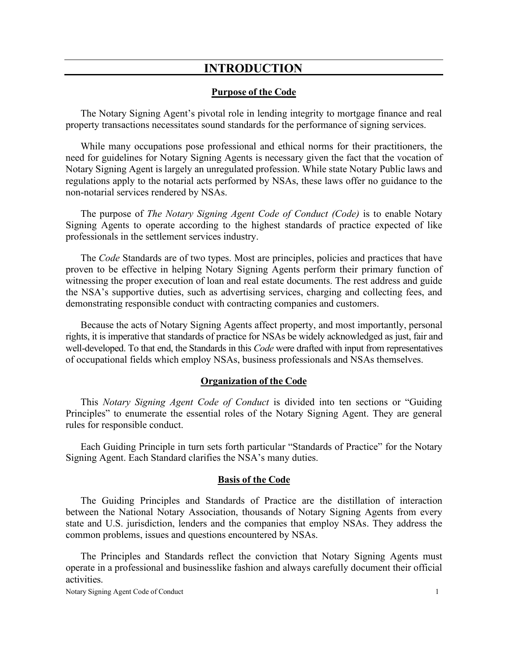# **INTRODUCTION**

#### **Purpose of the Code**

<span id="page-17-0"></span>The Notary Signing Agent's pivotal role in lending integrity to mortgage finance and real property transactions necessitates sound standards for the performance of signing services.

While many occupations pose professional and ethical norms for their practitioners, the need for guidelines for Notary Signing Agents is necessary given the fact that the vocation of Notary Signing Agent is largely an unregulated profession. While state Notary Public laws and regulations apply to the notarial acts performed by NSAs, these laws offer no guidance to the non-notarial services rendered by NSAs.

The purpose of *The Notary Signing Agent Code of Conduct (Code)* is to enable Notary Signing Agents to operate according to the highest standards of practice expected of like professionals in the settlement services industry.

The *Code* Standards are of two types. Most are principles, policies and practices that have proven to be effective in helping Notary Signing Agents perform their primary function of witnessing the proper execution of loan and real estate documents. The rest address and guide the NSA's supportive duties, such as advertising services, charging and collecting fees, and demonstrating responsible conduct with contracting companies and customers.

Because the acts of Notary Signing Agents affect property, and most importantly, personal rights, it is imperative that standards of practice for NSAs be widely acknowledged as just, fair and well-developed. To that end, the Standards in this *Code* were drafted with input from representatives of occupational fields which employ NSAs, business professionals and NSAs themselves.

#### **Organization of the Code**

This *Notary Signing Agent Code of Conduct* is divided into ten sections or "Guiding Principles" to enumerate the essential roles of the Notary Signing Agent. They are general rules for responsible conduct.

Each Guiding Principle in turn sets forth particular "Standards of Practice" for the Notary Signing Agent. Each Standard clarifies the NSA's many duties.

#### **Basis of the Code**

The Guiding Principles and Standards of Practice are the distillation of interaction between the National Notary Association, thousands of Notary Signing Agents from every state and U.S. jurisdiction, lenders and the companies that employ NSAs. They address the common problems, issues and questions encountered by NSAs.

The Principles and Standards reflect the conviction that Notary Signing Agents must operate in a professional and businesslike fashion and always carefully document their official activities.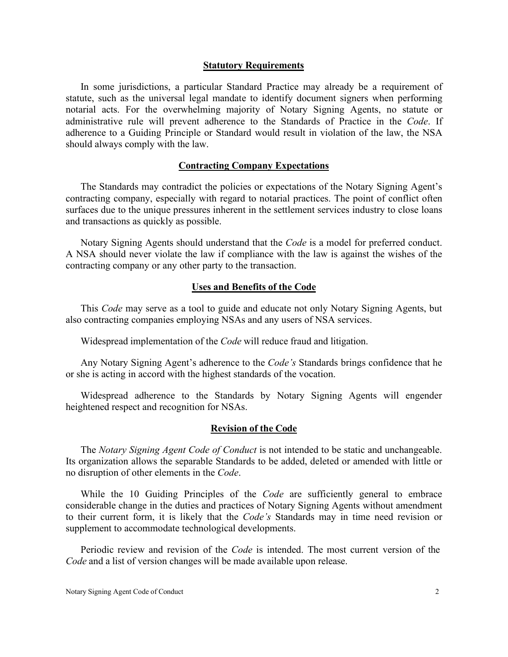#### **Statutory Requirements**

In some jurisdictions, a particular Standard Practice may already be a requirement of statute, such as the universal legal mandate to identify document signers when performing notarial acts. For the overwhelming majority of Notary Signing Agents, no statute or administrative rule will prevent adherence to the Standards of Practice in the *Code*. If adherence to a Guiding Principle or Standard would result in violation of the law, the NSA should always comply with the law.

#### **Contracting Company Expectations**

The Standards may contradict the policies or expectations of the Notary Signing Agent's contracting company, especially with regard to notarial practices. The point of conflict often surfaces due to the unique pressures inherent in the settlement services industry to close loans and transactions as quickly as possible.

Notary Signing Agents should understand that the *Code* is a model for preferred conduct. A NSA should never violate the law if compliance with the law is against the wishes of the contracting company or any other party to the transaction.

#### **Uses and Benefits of the Code**

This *Code* may serve as a tool to guide and educate not only Notary Signing Agents, but also contracting companies employing NSAs and any users of NSA services.

Widespread implementation of the *Code* will reduce fraud and litigation.

Any Notary Signing Agent's adherence to the *Code's* Standards brings confidence that he or she is acting in accord with the highest standards of the vocation.

Widespread adherence to the Standards by Notary Signing Agents will engender heightened respect and recognition for NSAs.

#### **Revision of the Code**

The *Notary Signing Agent Code of Conduct* is not intended to be static and unchangeable. Its organization allows the separable Standards to be added, deleted or amended with little or no disruption of other elements in the *Code*.

While the 10 Guiding Principles of the *Code* are sufficiently general to embrace considerable change in the duties and practices of Notary Signing Agents without amendment to their current form, it is likely that the *Code's* Standards may in time need revision or supplement to accommodate technological developments.

Periodic review and revision of the *Code* is intended. The most current version of the *Code* and a list of version changes will be made available upon release.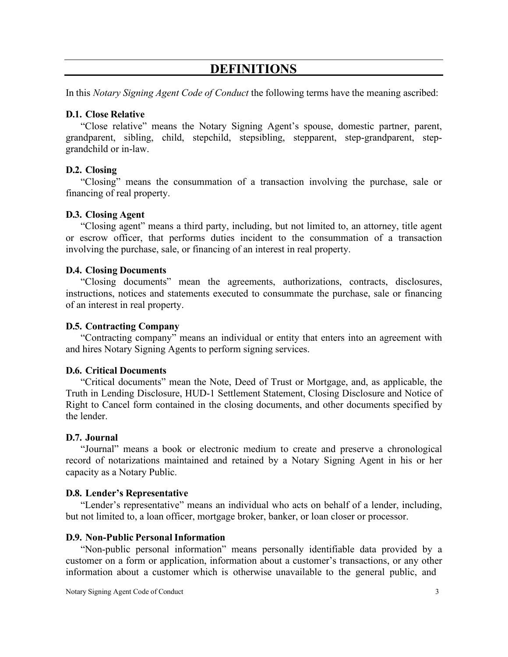# **DEFINITIONS**

<span id="page-19-0"></span>In this *Notary Signing Agent Code of Conduct* the following terms have the meaning ascribed:

## <span id="page-19-1"></span>**D.1. Close Relative**

"Close relative" means the Notary Signing Agent's spouse, domestic partner, parent, grandparent, sibling, child, stepchild, stepsibling, stepparent, step-grandparent, stepgrandchild or in-law.

# <span id="page-19-2"></span>**D.2. Closing**

"Closing" means the consummation of a transaction involving the purchase, sale or financing of real property.

## <span id="page-19-3"></span>**D.3. Closing Agent**

"Closing agent" means a third party, including, but not limited to, an attorney, title agent or escrow officer, that performs duties incident to the consummation of a transaction involving the purchase, sale, or financing of an interest in real property.

## <span id="page-19-4"></span>**D.4. Closing Documents**

"Closing documents" mean the agreements, authorizations, contracts, disclosures, instructions, notices and statements executed to consummate the purchase, sale or financing of an interest in real property.

#### <span id="page-19-5"></span>**D.5. Contracting Company**

"Contracting company" means an individual or entity that enters into an agreement with and hires Notary Signing Agents to perform signing services.

#### <span id="page-19-6"></span>**D.6. Critical Documents**

"Critical documents" mean the Note, Deed of Trust or Mortgage, and, as applicable, the Truth in Lending Disclosure, HUD-1 Settlement Statement, Closing Disclosure and Notice of Right to Cancel form contained in the closing documents, and other documents specified by the lender.

## <span id="page-19-7"></span>**D.7. Journal**

"Journal" means a book or electronic medium to create and preserve a chronological record of notarizations maintained and retained by a Notary Signing Agent in his or her capacity as a Notary Public.

#### <span id="page-19-8"></span>**D.8. Lender's Representative**

"Lender's representative" means an individual who acts on behalf of a lender, including, but not limited to, a loan officer, mortgage broker, banker, or loan closer or processor.

#### <span id="page-19-9"></span>**D.9. Non-Public Personal Information**

"Non-public personal information" means personally identifiable data provided by a customer on a form or application, information about a customer's transactions, or any other information about a customer which is otherwise unavailable to the general public, and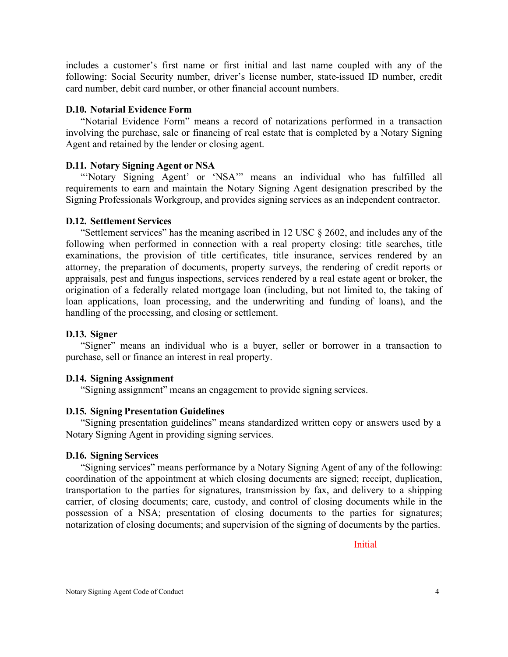includes a customer's first name or first initial and last name coupled with any of the following: Social Security number, driver's license number, state-issued ID number, credit card number, debit card number, or other financial account numbers.

## <span id="page-20-0"></span>**D.10. Notarial Evidence Form**

"Notarial Evidence Form" means a record of notarizations performed in a transaction involving the purchase, sale or financing of real estate that is completed by a Notary Signing Agent and retained by the lender or closing agent.

# <span id="page-20-1"></span>**D.11. Notary Signing Agent or NSA**

"'Notary Signing Agent' or 'NSA'" means an individual who has fulfilled all requirements to earn and maintain the Notary Signing Agent designation prescribed by the Signing Professionals Workgroup, and provides signing services as an independent contractor.

## <span id="page-20-2"></span>**D.12. Settlement Services**

"Settlement services" has the meaning ascribed in 12 USC § 2602, and includes any of the following when performed in connection with a real property closing: title searches, title examinations, the provision of title certificates, title insurance, services rendered by an attorney, the preparation of documents, property surveys, the rendering of credit reports or appraisals, pest and fungus inspections, services rendered by a real estate agent or broker, the origination of a federally related mortgage loan (including, but not limited to, the taking of loan applications, loan processing, and the underwriting and funding of loans), and the handling of the processing, and closing or settlement.

# <span id="page-20-3"></span>**D.13. Signer**

"Signer" means an individual who is a buyer, seller or borrower in a transaction to purchase, sell or finance an interest in real property.

#### <span id="page-20-4"></span>**D.14. Signing Assignment**

"Signing assignment" means an engagement to provide signing services.

# <span id="page-20-5"></span>**D.15. Signing Presentation Guidelines**

"Signing presentation guidelines" means standardized written copy or answers used by a Notary Signing Agent in providing signing services.

#### <span id="page-20-6"></span>**D.16. Signing Services**

"Signing services" means performance by a Notary Signing Agent of any of the following: coordination of the appointment at which closing documents are signed; receipt, duplication, transportation to the parties for signatures, transmission by fax, and delivery to a shipping carrier, of closing documents; care, custody, and control of closing documents while in the possession of a NSA; presentation of closing documents to the parties for signatures; notarization of closing documents; and supervision of the signing of documents by the parties.

Initial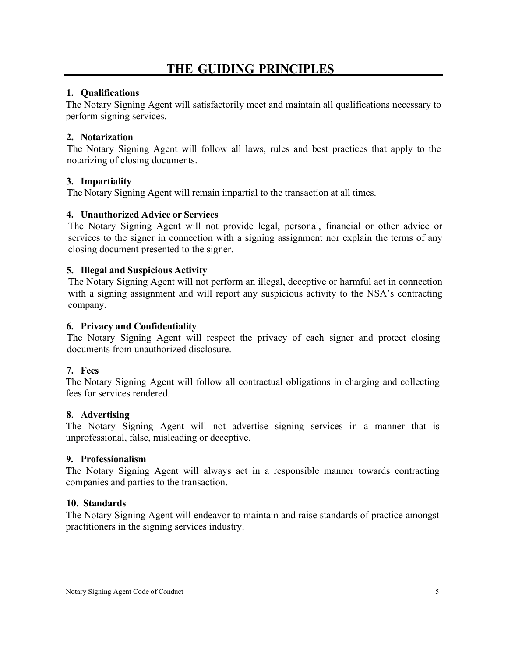# **THE GUIDING PRINCIPLES**

# <span id="page-21-0"></span>**1. Qualifications**

The Notary Signing Agent will satisfactorily meet and maintain all qualifications necessary to perform signing services.

# **2. Notarization**

The Notary Signing Agent will follow all laws, rules and best practices that apply to the notarizing of closing documents.

# **3. Impartiality**

The Notary Signing Agent will remain impartial to the transaction at all times.

# **4. Unauthorized Advice or Services**

The Notary Signing Agent will not provide legal, personal, financial or other advice or services to the signer in connection with a signing assignment nor explain the terms of any closing document presented to the signer.

# **5. Illegal and Suspicious Activity**

The Notary Signing Agent will not perform an illegal, deceptive or harmful act in connection with a signing assignment and will report any suspicious activity to the NSA's contracting company.

# **6. Privacy and Confidentiality**

The Notary Signing Agent will respect the privacy of each signer and protect closing documents from unauthorized disclosure.

# **7. Fees**

The Notary Signing Agent will follow all contractual obligations in charging and collecting fees for services rendered.

# **8. Advertising**

The Notary Signing Agent will not advertise signing services in a manner that is unprofessional, false, misleading or deceptive.

# **9. Professionalism**

The Notary Signing Agent will always act in a responsible manner towards contracting companies and parties to the transaction.

# **10. Standards**

The Notary Signing Agent will endeavor to maintain and raise standards of practice amongst practitioners in the signing services industry.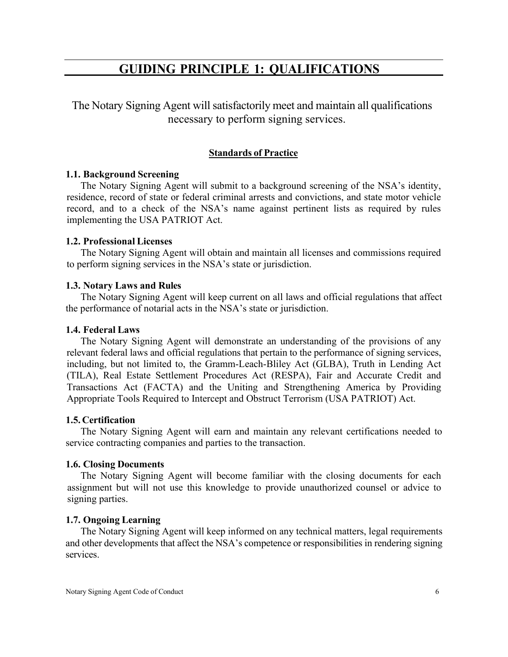# **GUIDING PRINCIPLE 1: QUALIFICATIONS**

<span id="page-22-0"></span>The Notary Signing Agent will satisfactorily meet and maintain all qualifications necessary to perform signing services.

# **Standards of Practice**

#### <span id="page-22-1"></span>**1.1. Background Screening**

The Notary Signing Agent will submit to a background screening of the NSA's identity, residence, record of state or federal criminal arrests and convictions, and state motor vehicle record, and to a check of the NSA's name against pertinent lists as required by rules implementing the USA PATRIOT Act.

#### <span id="page-22-2"></span>**1.2. Professional Licenses**

The Notary Signing Agent will obtain and maintain all licenses and commissions required to perform signing services in the NSA's state or jurisdiction.

#### <span id="page-22-3"></span>**1.3. Notary Laws and Rules**

The Notary Signing Agent will keep current on all laws and official regulations that affect the performance of notarial acts in the NSA's state or jurisdiction.

#### <span id="page-22-4"></span>**1.4. Federal Laws**

The Notary Signing Agent will demonstrate an understanding of the provisions of any relevant federal laws and official regulations that pertain to the performance of signing services, including, but not limited to, the Gramm-Leach-Bliley Act (GLBA), Truth in Lending Act (TILA), Real Estate Settlement Procedures Act (RESPA), Fair and Accurate Credit and Transactions Act (FACTA) and the Uniting and Strengthening America by Providing Appropriate Tools Required to Intercept and Obstruct Terrorism (USA PATRIOT) Act.

#### <span id="page-22-5"></span>**1.5. Certification**

The Notary Signing Agent will earn and maintain any relevant certifications needed to service contracting companies and parties to the transaction.

#### <span id="page-22-6"></span>**1.6. Closing Documents**

The Notary Signing Agent will become familiar with the closing documents for each assignment but will not use this knowledge to provide unauthorized counsel or advice to signing parties.

## <span id="page-22-7"></span>**1.7. Ongoing Learning**

The Notary Signing Agent will keep informed on any technical matters, legal requirements and other developments that affect the NSA's competence or responsibilities in rendering signing services.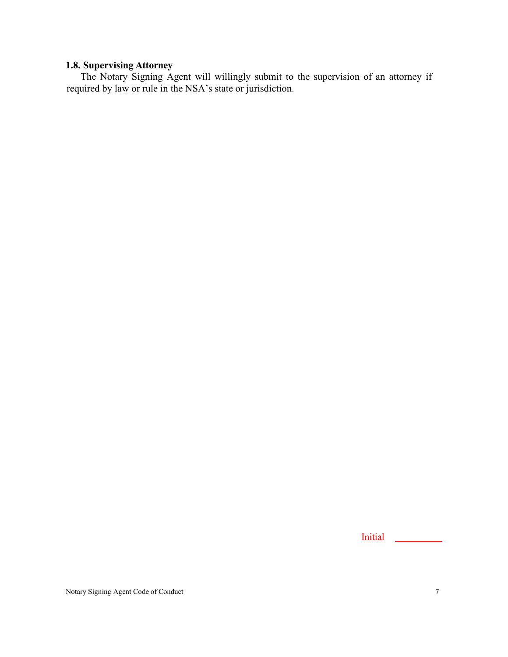# <span id="page-23-0"></span>**1.8. Supervising Attorney**

The Notary Signing Agent will willingly submit to the supervision of an attorney if required by law or rule in the NSA's state or jurisdiction.

Initial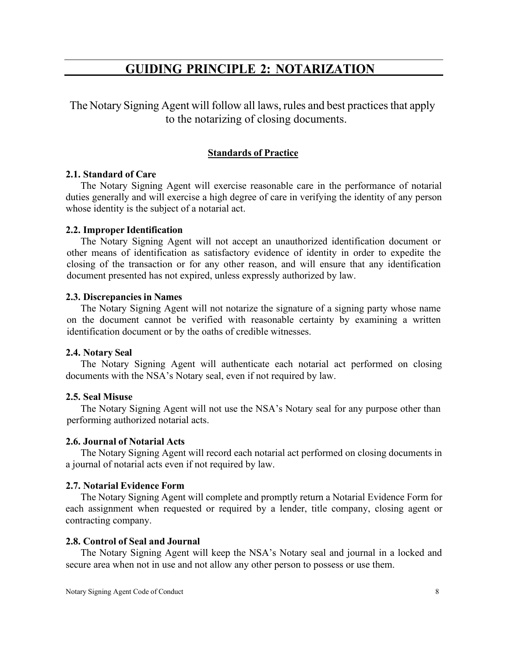# **GUIDING PRINCIPLE 2: NOTARIZATION**

<span id="page-24-0"></span>The Notary Signing Agent will follow all laws, rules and best practices that apply to the notarizing of closing documents.

## **Standards of Practice**

#### <span id="page-24-1"></span>**2.1. Standard of Care**

The Notary Signing Agent will exercise reasonable care in the performance of notarial duties generally and will exercise a high degree of care in verifying the identity of any person whose identity is the subject of a notarial act.

#### <span id="page-24-2"></span>**2.2. Improper Identification**

The Notary Signing Agent will not accept an unauthorized identification document or other means of identification as satisfactory evidence of identity in order to expedite the closing of the transaction or for any other reason, and will ensure that any identification document presented has not expired, unless expressly authorized by law.

#### <span id="page-24-3"></span>**2.3. Discrepancies in Names**

The Notary Signing Agent will not notarize the signature of a signing party whose name on the document cannot be verified with reasonable certainty by examining a written identification document or by the oaths of credible witnesses.

#### <span id="page-24-4"></span>**2.4. Notary Seal**

The Notary Signing Agent will authenticate each notarial act performed on closing documents with the NSA's Notary seal, even if not required by law.

## <span id="page-24-5"></span>**2.5. Seal Misuse**

The Notary Signing Agent will not use the NSA's Notary seal for any purpose other than performing authorized notarial acts.

#### <span id="page-24-6"></span>**2.6. Journal of Notarial Acts**

The Notary Signing Agent will record each notarial act performed on closing documents in a journal of notarial acts even if not required by law.

#### <span id="page-24-7"></span>**2.7. Notarial Evidence Form**

The Notary Signing Agent will complete and promptly return a Notarial Evidence Form for each assignment when requested or required by a lender, title company, closing agent or contracting company.

#### <span id="page-24-8"></span>**2.8. Control of Seal and Journal**

The Notary Signing Agent will keep the NSA's Notary seal and journal in a locked and secure area when not in use and not allow any other person to possess or use them.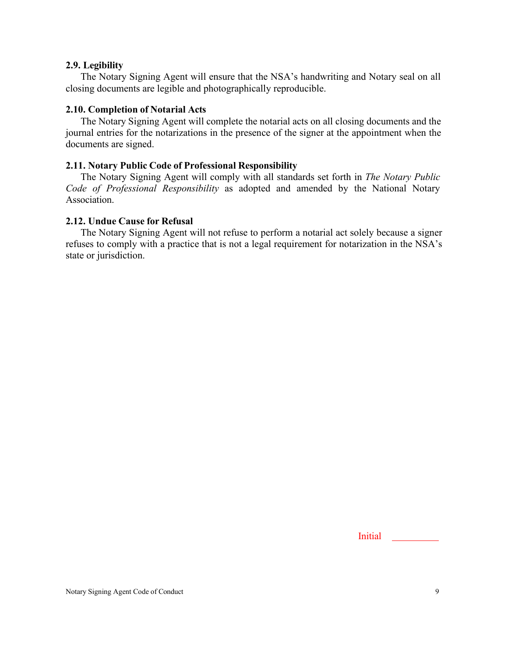#### <span id="page-25-0"></span>**2.9. Legibility**

The Notary Signing Agent will ensure that the NSA's handwriting and Notary seal on all closing documents are legible and photographically reproducible.

# <span id="page-25-1"></span>**2.10. Completion of Notarial Acts**

The Notary Signing Agent will complete the notarial acts on all closing documents and the journal entries for the notarizations in the presence of the signer at the appointment when the documents are signed.

# <span id="page-25-2"></span>**2.11. Notary Public Code of Professional Responsibility**

The Notary Signing Agent will comply with all standards set forth in *The Notary Public Code of Professional Responsibility* as adopted and amended by the National Notary Association.

## <span id="page-25-3"></span>**2.12. Undue Cause for Refusal**

The Notary Signing Agent will not refuse to perform a notarial act solely because a signer refuses to comply with a practice that is not a legal requirement for notarization in the NSA's state or jurisdiction.

Initial <u>Initial</u>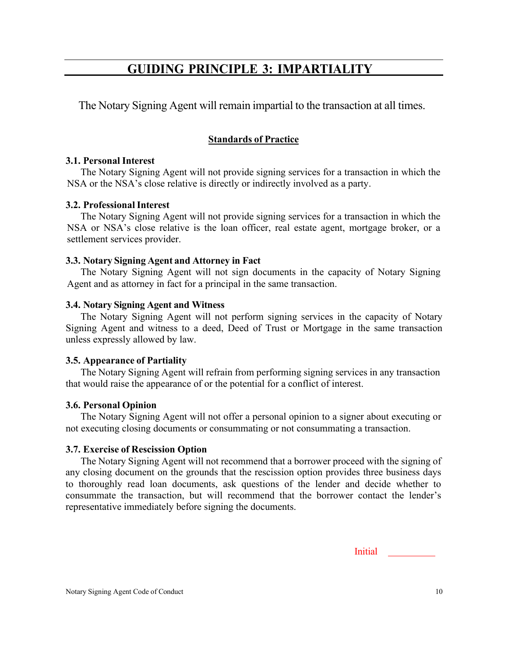# **GUIDING PRINCIPLE 3: IMPARTIALITY**

<span id="page-26-0"></span>The Notary Signing Agent will remain impartial to the transaction at all times.

# **Standards of Practice**

# <span id="page-26-1"></span>**3.1. Personal Interest**

The Notary Signing Agent will not provide signing services for a transaction in which the NSA or the NSA's close relative is directly or indirectly involved as a party.

# <span id="page-26-2"></span>**3.2. Professional Interest**

The Notary Signing Agent will not provide signing services for a transaction in which the NSA or NSA's close relative is the loan officer, real estate agent, mortgage broker, or a settlement services provider.

# <span id="page-26-3"></span>**3.3. Notary Signing Agent and Attorney in Fact**

The Notary Signing Agent will not sign documents in the capacity of Notary Signing Agent and as attorney in fact for a principal in the same transaction.

# <span id="page-26-4"></span>**3.4. Notary Signing Agent and Witness**

The Notary Signing Agent will not perform signing services in the capacity of Notary Signing Agent and witness to a deed, Deed of Trust or Mortgage in the same transaction unless expressly allowed by law.

# <span id="page-26-5"></span>**3.5. Appearance of Partiality**

The Notary Signing Agent will refrain from performing signing services in any transaction that would raise the appearance of or the potential for a conflict of interest.

# <span id="page-26-6"></span>**3.6. Personal Opinion**

The Notary Signing Agent will not offer a personal opinion to a signer about executing or not executing closing documents or consummating or not consummating a transaction.

# <span id="page-26-7"></span>**3.7. Exercise of Rescission Option**

The Notary Signing Agent will not recommend that a borrower proceed with the signing of any closing document on the grounds that the rescission option provides three business days to thoroughly read loan documents, ask questions of the lender and decide whether to consummate the transaction, but will recommend that the borrower contact the lender's representative immediately before signing the documents.

**Initial**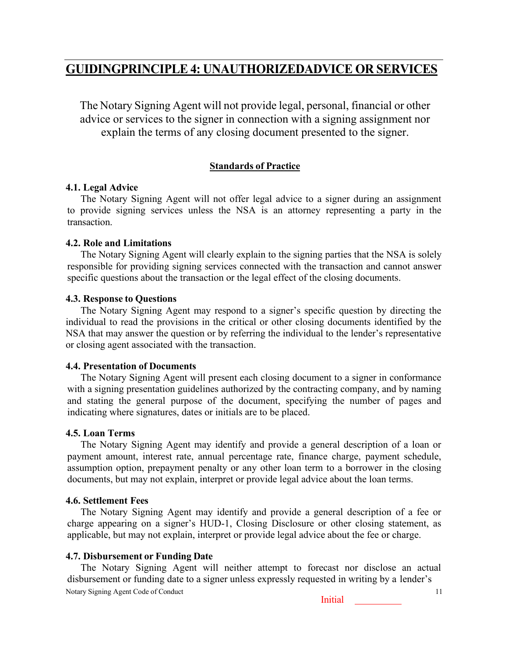# <span id="page-27-0"></span>**GUIDINGPRINCIPLE 4: UNAUTHORIZEDADVICE OR SERVICES**

The Notary Signing Agent will not provide legal, personal, financial or other advice or services to the signer in connection with a signing assignment nor explain the terms of any closing document presented to the signer.

# **Standards of Practice**

## <span id="page-27-1"></span>**4.1. Legal Advice**

The Notary Signing Agent will not offer legal advice to a signer during an assignment to provide signing services unless the NSA is an attorney representing a party in the transaction.

## <span id="page-27-2"></span>**4.2. Role and Limitations**

The Notary Signing Agent will clearly explain to the signing parties that the NSA is solely responsible for providing signing services connected with the transaction and cannot answer specific questions about the transaction or the legal effect of the closing documents.

## <span id="page-27-3"></span>**4.3. Response to Questions**

The Notary Signing Agent may respond to a signer's specific question by directing the individual to read the provisions in the critical or other closing documents identified by the NSA that may answer the question or by referring the individual to the lender's representative or closing agent associated with the transaction.

#### <span id="page-27-4"></span>**4.4. Presentation of Documents**

The Notary Signing Agent will present each closing document to a signer in conformance with a signing presentation guidelines authorized by the contracting company, and by naming and stating the general purpose of the document, specifying the number of pages and indicating where signatures, dates or initials are to be placed.

# <span id="page-27-5"></span>**4.5. Loan Terms**

The Notary Signing Agent may identify and provide a general description of a loan or payment amount, interest rate, annual percentage rate, finance charge, payment schedule, assumption option, prepayment penalty or any other loan term to a borrower in the closing documents, but may not explain, interpret or provide legal advice about the loan terms.

# <span id="page-27-6"></span>**4.6. Settlement Fees**

The Notary Signing Agent may identify and provide a general description of a fee or charge appearing on a signer's HUD-1, Closing Disclosure or other closing statement, as applicable, but may not explain, interpret or provide legal advice about the fee or charge.

# <span id="page-27-7"></span>**4.7. Disbursement or Funding Date**

Notary Signing Agent Code of Conduct 11 The Notary Signing Agent will neither attempt to forecast nor disclose an actual disbursement or funding date to a signer unless expressly requested in writing by a lender's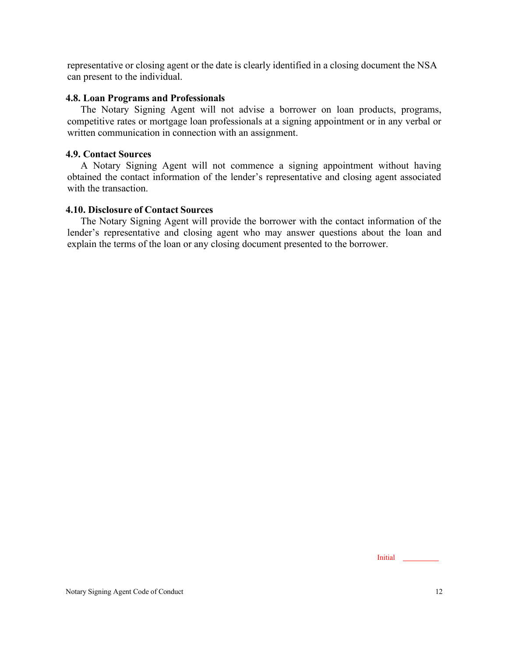representative or closing agent or the date is clearly identified in a closing document the NSA can present to the individual.

## <span id="page-28-0"></span>**4.8. Loan Programs and Professionals**

The Notary Signing Agent will not advise a borrower on loan products, programs, competitive rates or mortgage loan professionals at a signing appointment or in any verbal or written communication in connection with an assignment.

## <span id="page-28-1"></span>**4.9. Contact Sources**

A Notary Signing Agent will not commence a signing appointment without having obtained the contact information of the lender's representative and closing agent associated with the transaction.

# <span id="page-28-2"></span>**4.10. Disclosure of Contact Sources**

The Notary Signing Agent will provide the borrower with the contact information of the lender's representative and closing agent who may answer questions about the loan and explain the terms of the loan or any closing document presented to the borrower.

Initial<sub>2</sub>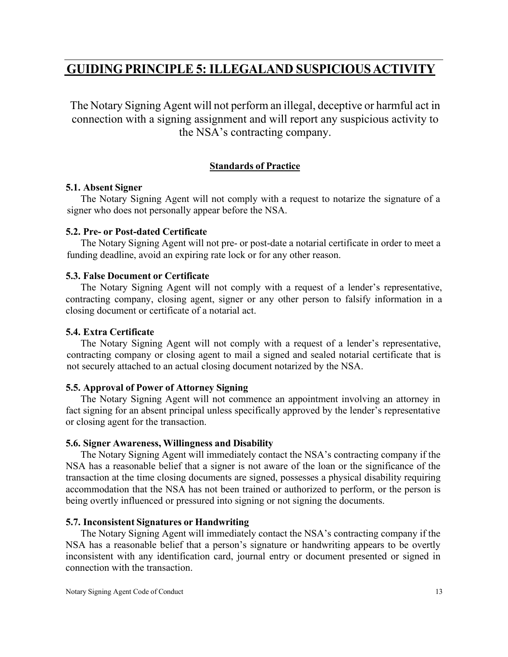# <span id="page-29-0"></span>**GUIDING PRINCIPLE 5: ILLEGALAND SUSPICIOUSACTIVITY**

The Notary Signing Agent will not perform an illegal, deceptive or harmful act in connection with a signing assignment and will report any suspicious activity to the NSA's contracting company.

# **Standards of Practice**

## <span id="page-29-1"></span>**5.1. Absent Signer**

The Notary Signing Agent will not comply with a request to notarize the signature of a signer who does not personally appear before the NSA.

## <span id="page-29-2"></span>**5.2. Pre- or Post-dated Certificate**

The Notary Signing Agent will not pre- or post-date a notarial certificate in order to meet a funding deadline, avoid an expiring rate lock or for any other reason.

## <span id="page-29-3"></span>**5.3. False Document or Certificate**

The Notary Signing Agent will not comply with a request of a lender's representative, contracting company, closing agent, signer or any other person to falsify information in a closing document or certificate of a notarial act.

## <span id="page-29-4"></span>**5.4. Extra Certificate**

The Notary Signing Agent will not comply with a request of a lender's representative, contracting company or closing agent to mail a signed and sealed notarial certificate that is not securely attached to an actual closing document notarized by the NSA.

# <span id="page-29-5"></span>**5.5. Approval of Power of Attorney Signing**

The Notary Signing Agent will not commence an appointment involving an attorney in fact signing for an absent principal unless specifically approved by the lender's representative or closing agent for the transaction.

# <span id="page-29-6"></span>**5.6. Signer Awareness, Willingness and Disability**

The Notary Signing Agent will immediately contact the NSA's contracting company if the NSA has a reasonable belief that a signer is not aware of the loan or the significance of the transaction at the time closing documents are signed, possesses a physical disability requiring accommodation that the NSA has not been trained or authorized to perform, or the person is being overtly influenced or pressured into signing or not signing the documents.

# <span id="page-29-7"></span>**5.7. Inconsistent Signatures or Handwriting**

The Notary Signing Agent will immediately contact the NSA's contracting company if the NSA has a reasonable belief that a person's signature or handwriting appears to be overtly inconsistent with any identification card, journal entry or document presented or signed in connection with the transaction.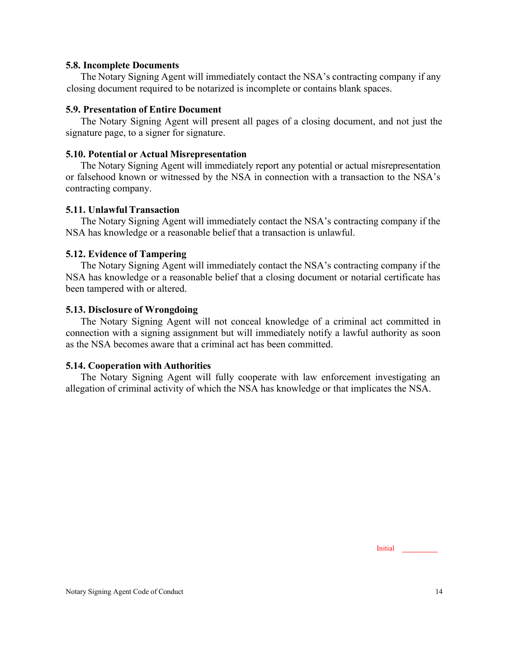#### <span id="page-30-0"></span>**5.8. Incomplete Documents**

The Notary Signing Agent will immediately contact the NSA's contracting company if any closing document required to be notarized is incomplete or contains blank spaces.

## <span id="page-30-1"></span>**5.9. Presentation of Entire Document**

The Notary Signing Agent will present all pages of a closing document, and not just the signature page, to a signer for signature.

## <span id="page-30-2"></span>**5.10. Potential or Actual Misrepresentation**

The Notary Signing Agent will immediately report any potential or actual misrepresentation or falsehood known or witnessed by the NSA in connection with a transaction to the NSA's contracting company.

## <span id="page-30-3"></span>**5.11. Unlawful Transaction**

The Notary Signing Agent will immediately contact the NSA's contracting company if the NSA has knowledge or a reasonable belief that a transaction is unlawful.

## <span id="page-30-4"></span>**5.12. Evidence of Tampering**

The Notary Signing Agent will immediately contact the NSA's contracting company if the NSA has knowledge or a reasonable belief that a closing document or notarial certificate has been tampered with or altered.

## <span id="page-30-5"></span>**5.13. Disclosure of Wrongdoing**

The Notary Signing Agent will not conceal knowledge of a criminal act committed in connection with a signing assignment but will immediately notify a lawful authority as soon as the NSA becomes aware that a criminal act has been committed.

#### <span id="page-30-6"></span>**5.14. Cooperation with Authorities**

The Notary Signing Agent will fully cooperate with law enforcement investigating an allegation of criminal activity of which the NSA has knowledge or that implicates the NSA.

Initial<sub>1</sub>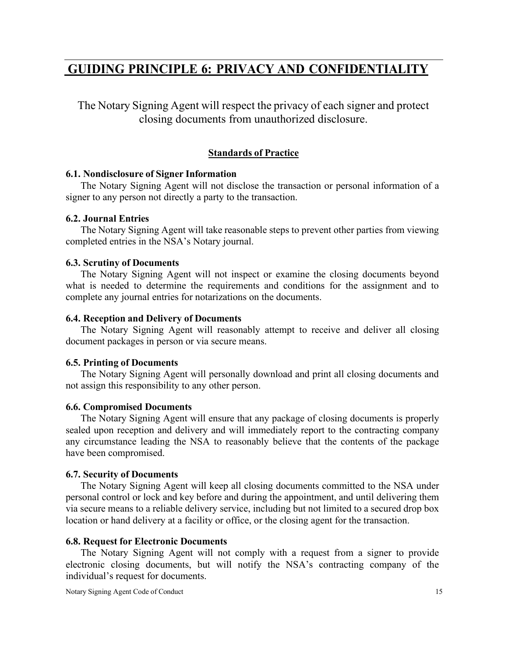# <span id="page-31-0"></span>**GUIDING PRINCIPLE 6: PRIVACY AND CONFIDENTIALITY**

The Notary Signing Agent will respect the privacy of each signer and protect closing documents from unauthorized disclosure.

## **Standards of Practice**

#### <span id="page-31-1"></span>**6.1. Nondisclosure of Signer Information**

The Notary Signing Agent will not disclose the transaction or personal information of a signer to any person not directly a party to the transaction.

#### <span id="page-31-2"></span>**6.2. Journal Entries**

The Notary Signing Agent will take reasonable steps to prevent other parties from viewing completed entries in the NSA's Notary journal.

#### <span id="page-31-3"></span>**6.3. Scrutiny of Documents**

The Notary Signing Agent will not inspect or examine the closing documents beyond what is needed to determine the requirements and conditions for the assignment and to complete any journal entries for notarizations on the documents.

#### <span id="page-31-4"></span>**6.4. Reception and Delivery of Documents**

The Notary Signing Agent will reasonably attempt to receive and deliver all closing document packages in person or via secure means.

#### <span id="page-31-5"></span>**6.5. Printing of Documents**

The Notary Signing Agent will personally download and print all closing documents and not assign this responsibility to any other person.

#### <span id="page-31-6"></span>**6.6. Compromised Documents**

The Notary Signing Agent will ensure that any package of closing documents is properly sealed upon reception and delivery and will immediately report to the contracting company any circumstance leading the NSA to reasonably believe that the contents of the package have been compromised.

#### <span id="page-31-7"></span>**6.7. Security of Documents**

The Notary Signing Agent will keep all closing documents committed to the NSA under personal control or lock and key before and during the appointment, and until delivering them via secure means to a reliable delivery service, including but not limited to a secured drop box location or hand delivery at a facility or office, or the closing agent for the transaction.

#### <span id="page-31-8"></span>**6.8. Request for Electronic Documents**

The Notary Signing Agent will not comply with a request from a signer to provide electronic closing documents, but will notify the NSA's contracting company of the individual's request for documents.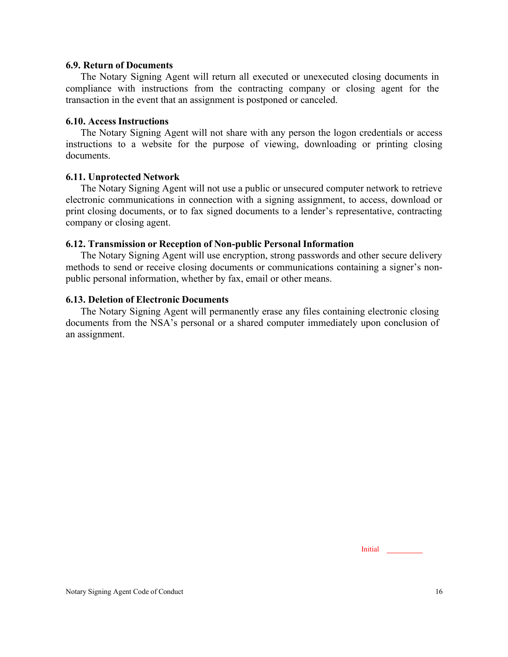#### <span id="page-32-0"></span>**6.9. Return of Documents**

The Notary Signing Agent will return all executed or unexecuted closing documents in compliance with instructions from the contracting company or closing agent for the transaction in the event that an assignment is postponed or canceled.

#### <span id="page-32-1"></span>**6.10. Access Instructions**

The Notary Signing Agent will not share with any person the logon credentials or access instructions to a website for the purpose of viewing, downloading or printing closing documents.

#### <span id="page-32-2"></span>**6.11. Unprotected Network**

The Notary Signing Agent will not use a public or unsecured computer network to retrieve electronic communications in connection with a signing assignment, to access, download or print closing documents, or to fax signed documents to a lender's representative, contracting company or closing agent.

#### <span id="page-32-3"></span>**6.12. Transmission or Reception of Non-public Personal Information**

The Notary Signing Agent will use encryption, strong passwords and other secure delivery methods to send or receive closing documents or communications containing a signer's nonpublic personal information, whether by fax, email or other means.

#### <span id="page-32-4"></span>**6.13. Deletion of Electronic Documents**

The Notary Signing Agent will permanently erase any files containing electronic closing documents from the NSA's personal or a shared computer immediately upon conclusion of an assignment.

Initial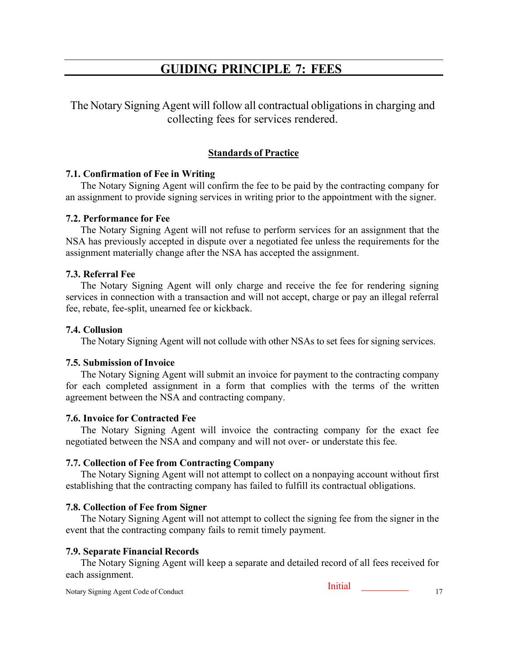# **GUIDING PRINCIPLE 7: FEES**

<span id="page-33-0"></span>The Notary Signing Agent will follow all contractual obligations in charging and collecting fees for services rendered.

# **Standards of Practice**

## <span id="page-33-1"></span>**7.1. Confirmation of Fee in Writing**

The Notary Signing Agent will confirm the fee to be paid by the contracting company for an assignment to provide signing services in writing prior to the appointment with the signer.

#### <span id="page-33-2"></span>**7.2. Performance for Fee**

The Notary Signing Agent will not refuse to perform services for an assignment that the NSA has previously accepted in dispute over a negotiated fee unless the requirements for the assignment materially change after the NSA has accepted the assignment.

## <span id="page-33-3"></span>**7.3. Referral Fee**

The Notary Signing Agent will only charge and receive the fee for rendering signing services in connection with a transaction and will not accept, charge or pay an illegal referral fee, rebate, fee-split, unearned fee or kickback.

## <span id="page-33-4"></span>**7.4. Collusion**

The Notary Signing Agent will not collude with other NSAs to set fees for signing services.

# <span id="page-33-5"></span>**7.5. Submission of Invoice**

The Notary Signing Agent will submit an invoice for payment to the contracting company for each completed assignment in a form that complies with the terms of the written agreement between the NSA and contracting company.

# <span id="page-33-6"></span>**7.6. Invoice for Contracted Fee**

The Notary Signing Agent will invoice the contracting company for the exact fee negotiated between the NSA and company and will not over- or understate this fee.

# <span id="page-33-7"></span>**7.7. Collection of Fee from Contracting Company**

The Notary Signing Agent will not attempt to collect on a nonpaying account without first establishing that the contracting company has failed to fulfill its contractual obligations.

# <span id="page-33-8"></span>**7.8. Collection of Fee from Signer**

The Notary Signing Agent will not attempt to collect the signing fee from the signer in the event that the contracting company fails to remit timely payment.

# <span id="page-33-9"></span>**7.9. Separate Financial Records**

The Notary Signing Agent will keep a separate and detailed record of all fees received for each assignment.

Initial<sub>1</sub>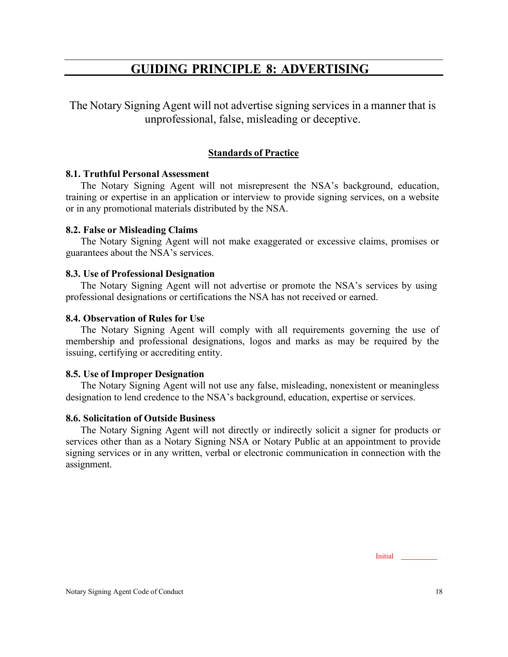# **GUIDING PRINCIPLE 8: ADVERTISING**

<span id="page-34-0"></span>The Notary Signing Agent will not advertise signing services in a manner that is unprofessional, false, misleading or deceptive.

# **Standards of Practice**

## <span id="page-34-1"></span>**8.1. Truthful Personal Assessment**

The Notary Signing Agent will not misrepresent the NSA's background, education, training or expertise in an application or interview to provide signing services, on a website or in any promotional materials distributed by the NSA.

## <span id="page-34-2"></span>**8.2. False or Misleading Claims**

The Notary Signing Agent will not make exaggerated or excessive claims, promises or guarantees about the NSA's services.

## <span id="page-34-3"></span>**8.3. Use of Professional Designation**

The Notary Signing Agent will not advertise or promote the NSA's services by using professional designations or certifications the NSA has not received or earned.

## <span id="page-34-4"></span>**8.4. Observation of Rules for Use**

The Notary Signing Agent will comply with all requirements governing the use of membership and professional designations, logos and marks as may be required by the issuing, certifying or accrediting entity.

# <span id="page-34-5"></span>**8.5. Use of Improper Designation**

The Notary Signing Agent will not use any false, misleading, nonexistent or meaningless designation to lend credence to the NSA's background, education, expertise or services.

#### <span id="page-34-6"></span>**8.6. Solicitation of Outside Business**

The Notary Signing Agent will not directly or indirectly solicit a signer for products or services other than as a Notary Signing NSA or Notary Public at an appointment to provide signing services or in any written, verbal or electronic communication in connection with the assignment.

Initial<sub>1</sub>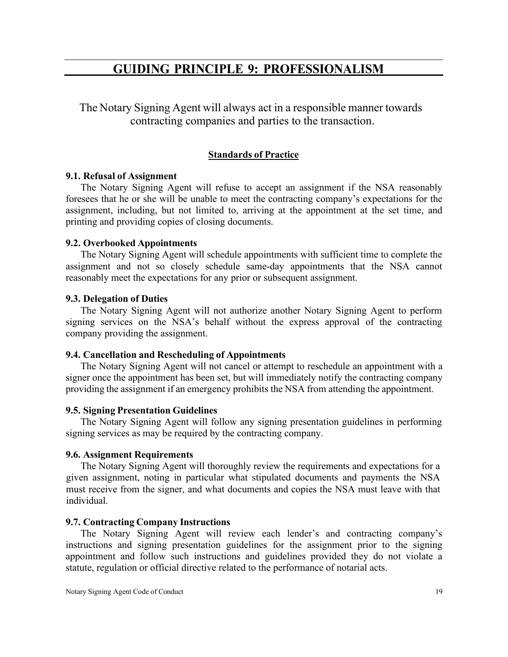# **GUIDING PRINCIPLE 9: PROFESSIONALISM**

<span id="page-35-0"></span>The Notary Signing Agent will always act in a responsible manner towards contracting companies and parties to the transaction.

# **Standards of Practice**

## <span id="page-35-1"></span>**9.1. Refusal of Assignment**

The Notary Signing Agent will refuse to accept an assignment if the NSA reasonably foresees that he or she will be unable to meet the contracting company's expectations for the assignment, including, but not limited to, arriving at the appointment at the set time, and printing and providing copies of closing documents.

## <span id="page-35-2"></span>**9.2. Overbooked Appointments**

The Notary Signing Agent will schedule appointments with sufficient time to complete the assignment and not so closely schedule same-day appointments that the NSA cannot reasonably meet the expectations for any prior or subsequent assignment.

## <span id="page-35-3"></span>**9.3. Delegation of Duties**

The Notary Signing Agent will not authorize another Notary Signing Agent to perform signing services on the NSA's behalf without the express approval of the contracting company providing the assignment.

#### <span id="page-35-4"></span>**9.4. Cancellation and Rescheduling of Appointments**

The Notary Signing Agent will not cancel or attempt to reschedule an appointment with a signer once the appointment has been set, but will immediately notify the contracting company providing the assignment if an emergency prohibits the NSA from attending the appointment.

#### <span id="page-35-5"></span>**9.5. Signing Presentation Guidelines**

The Notary Signing Agent will follow any signing presentation guidelines in performing signing services as may be required by the contracting company.

#### <span id="page-35-6"></span>**9.6. Assignment Requirements**

The Notary Signing Agent will thoroughly review the requirements and expectations for a given assignment, noting in particular what stipulated documents and payments the NSA must receive from the signer, and what documents and copies the NSA must leave with that individual.

#### <span id="page-35-7"></span>**9.7. Contracting Company Instructions**

The Notary Signing Agent will review each lender's and contracting company's instructions and signing presentation guidelines for the assignment prior to the signing appointment and follow such instructions and guidelines provided they do not violate a statute, regulation or official directive related to the performance of notarial acts.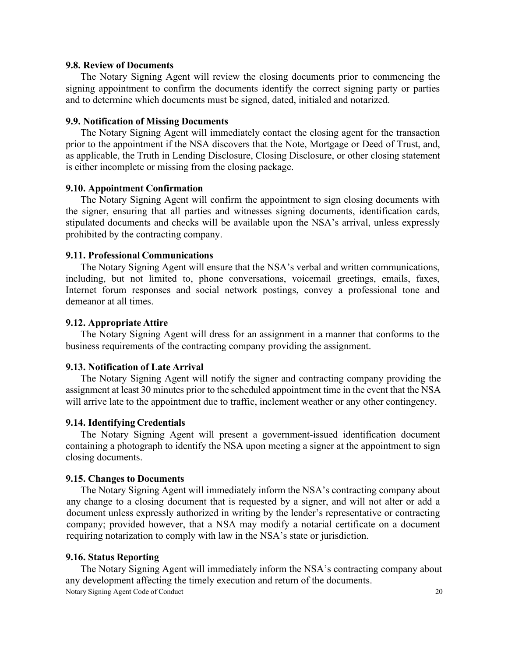#### <span id="page-36-0"></span>**9.8. Review of Documents**

The Notary Signing Agent will review the closing documents prior to commencing the signing appointment to confirm the documents identify the correct signing party or parties and to determine which documents must be signed, dated, initialed and notarized.

#### <span id="page-36-1"></span>**9.9. Notification of Missing Documents**

The Notary Signing Agent will immediately contact the closing agent for the transaction prior to the appointment if the NSA discovers that the Note, Mortgage or Deed of Trust, and, as applicable, the Truth in Lending Disclosure, Closing Disclosure, or other closing statement is either incomplete or missing from the closing package.

#### <span id="page-36-2"></span>**9.10. Appointment Confirmation**

The Notary Signing Agent will confirm the appointment to sign closing documents with the signer, ensuring that all parties and witnesses signing documents, identification cards, stipulated documents and checks will be available upon the NSA's arrival, unless expressly prohibited by the contracting company.

#### <span id="page-36-3"></span>**9.11. Professional Communications**

The Notary Signing Agent will ensure that the NSA's verbal and written communications, including, but not limited to, phone conversations, voicemail greetings, emails, faxes, Internet forum responses and social network postings, convey a professional tone and demeanor at all times.

#### <span id="page-36-4"></span>**9.12. Appropriate Attire**

The Notary Signing Agent will dress for an assignment in a manner that conforms to the business requirements of the contracting company providing the assignment.

#### <span id="page-36-5"></span>**9.13. Notification of Late Arrival**

The Notary Signing Agent will notify the signer and contracting company providing the assignment at least 30 minutes prior to the scheduled appointment time in the event that the NSA will arrive late to the appointment due to traffic, inclement weather or any other contingency.

#### <span id="page-36-6"></span>**9.14. Identifying Credentials**

The Notary Signing Agent will present a government-issued identification document containing a photograph to identify the NSA upon meeting a signer at the appointment to sign closing documents.

#### <span id="page-36-7"></span>**9.15. Changes to Documents**

The Notary Signing Agent will immediately inform the NSA's contracting company about any change to a closing document that is requested by a signer, and will not alter or add a document unless expressly authorized in writing by the lender's representative or contracting company; provided however, that a NSA may modify a notarial certificate on a document requiring notarization to comply with law in the NSA's state or jurisdiction.

#### <span id="page-36-8"></span>**9.16. Status Reporting**

Notary Signing Agent Code of Conduct 20 The Notary Signing Agent will immediately inform the NSA's contracting company about any development affecting the timely execution and return of the documents.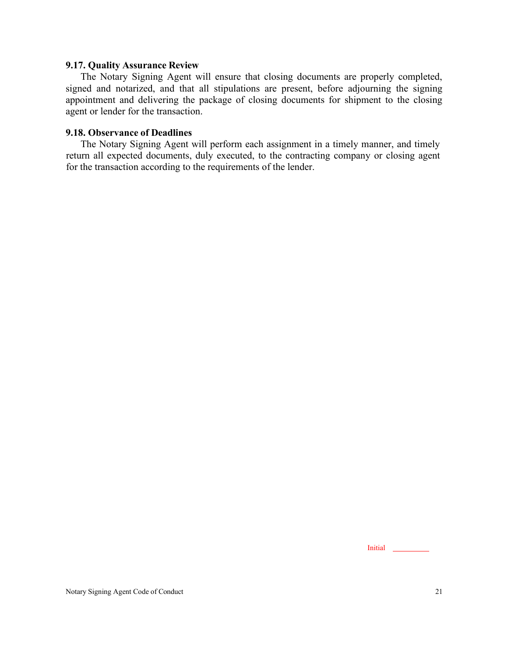#### <span id="page-37-0"></span>**9.17. Quality Assurance Review**

The Notary Signing Agent will ensure that closing documents are properly completed, signed and notarized, and that all stipulations are present, before adjourning the signing appointment and delivering the package of closing documents for shipment to the closing agent or lender for the transaction.

#### <span id="page-37-1"></span>**9.18. Observance of Deadlines**

The Notary Signing Agent will perform each assignment in a timely manner, and timely return all expected documents, duly executed, to the contracting company or closing agent for the transaction according to the requirements of the lender.

Initial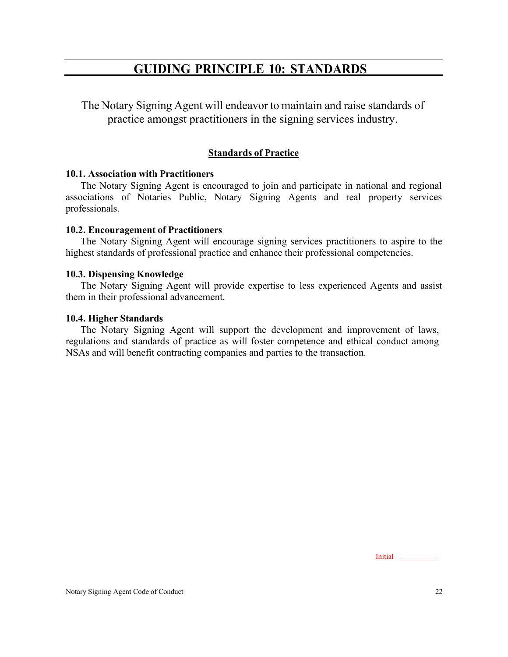# **GUIDING PRINCIPLE 10: STANDARDS**

<span id="page-38-0"></span>The Notary Signing Agent will endeavor to maintain and raise standards of practice amongst practitioners in the signing services industry.

# **Standards of Practice**

#### <span id="page-38-1"></span>**10.1. Association with Practitioners**

The Notary Signing Agent is encouraged to join and participate in national and regional associations of Notaries Public, Notary Signing Agents and real property services professionals.

## <span id="page-38-2"></span>**10.2. Encouragement of Practitioners**

The Notary Signing Agent will encourage signing services practitioners to aspire to the highest standards of professional practice and enhance their professional competencies.

#### <span id="page-38-3"></span>**10.3. Dispensing Knowledge**

The Notary Signing Agent will provide expertise to less experienced Agents and assist them in their professional advancement.

#### <span id="page-38-4"></span>**10.4. Higher Standards**

The Notary Signing Agent will support the development and improvement of laws, regulations and standards of practice as will foster competence and ethical conduct among NSAs and will benefit contracting companies and parties to the transaction.

Initial